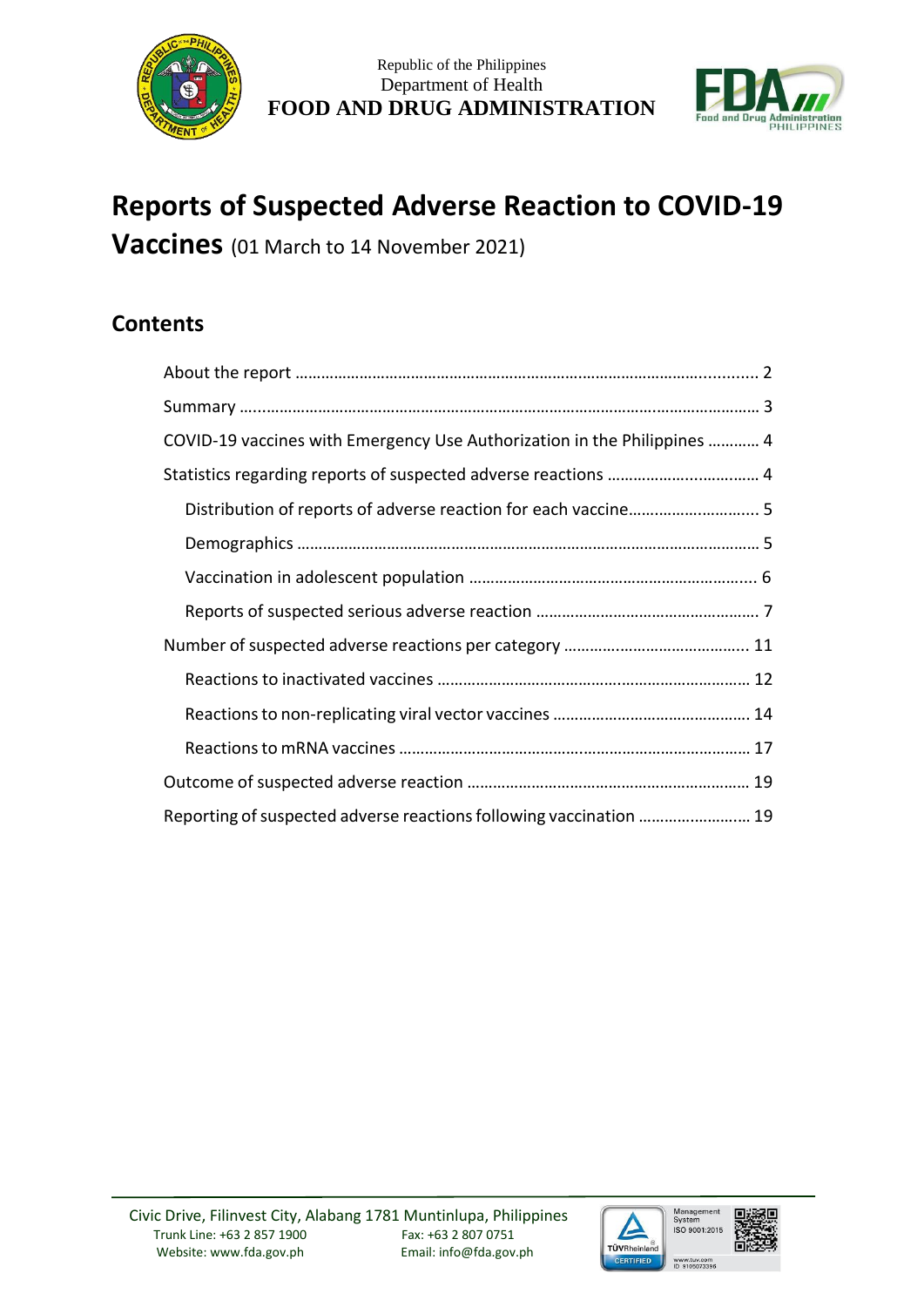



# **Reports of Suspected Adverse Reaction to COVID-19**

**Vaccines** (01 March to 14 November 2021)

# **Contents**

| COVID-19 vaccines with Emergency Use Authorization in the Philippines  4 |
|--------------------------------------------------------------------------|
| Statistics regarding reports of suspected adverse reactions  4           |
|                                                                          |
|                                                                          |
|                                                                          |
|                                                                          |
|                                                                          |
|                                                                          |
|                                                                          |
|                                                                          |
|                                                                          |
| Reporting of suspected adverse reactions following vaccination  19       |

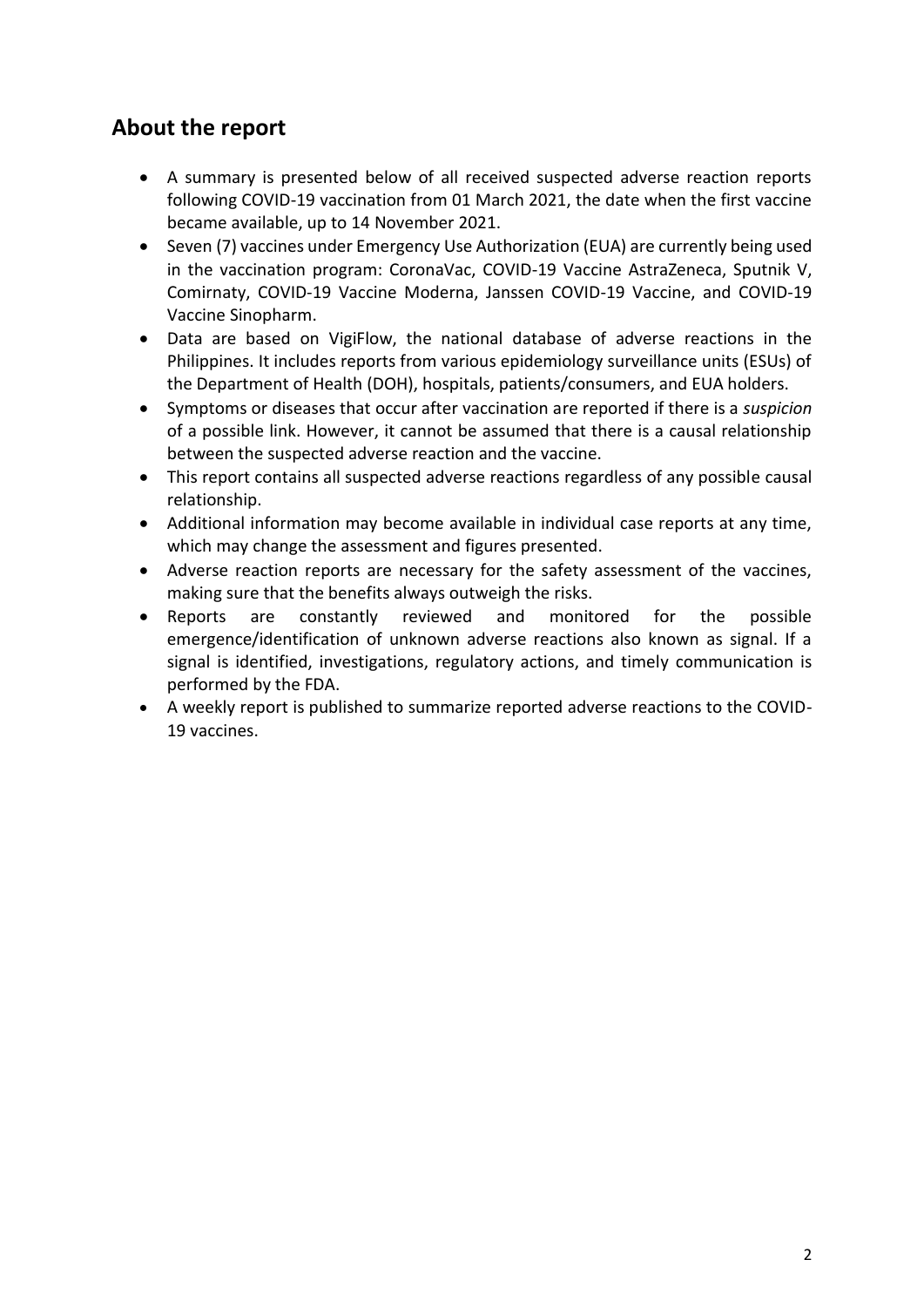# **About the report**

- A summary is presented below of all received suspected adverse reaction reports following COVID-19 vaccination from 01 March 2021, the date when the first vaccine became available, up to 14 November 2021.
- Seven (7) vaccines under Emergency Use Authorization (EUA) are currently being used in the vaccination program: CoronaVac, COVID-19 Vaccine AstraZeneca, Sputnik V, Comirnaty, COVID-19 Vaccine Moderna, Janssen COVID-19 Vaccine, and COVID-19 Vaccine Sinopharm.
- Data are based on VigiFlow, the national database of adverse reactions in the Philippines. It includes reports from various epidemiology surveillance units (ESUs) of the Department of Health (DOH), hospitals, patients/consumers, and EUA holders.
- Symptoms or diseases that occur after vaccination are reported if there is a *suspicion* of a possible link. However, it cannot be assumed that there is a causal relationship between the suspected adverse reaction and the vaccine.
- This report contains all suspected adverse reactions regardless of any possible causal relationship.
- Additional information may become available in individual case reports at any time, which may change the assessment and figures presented.
- Adverse reaction reports are necessary for the safety assessment of the vaccines, making sure that the benefits always outweigh the risks.
- Reports are constantly reviewed and monitored for the possible emergence/identification of unknown adverse reactions also known as signal. If a signal is identified, investigations, regulatory actions, and timely communication is performed by the FDA.
- A weekly report is published to summarize reported adverse reactions to the COVID-19 vaccines.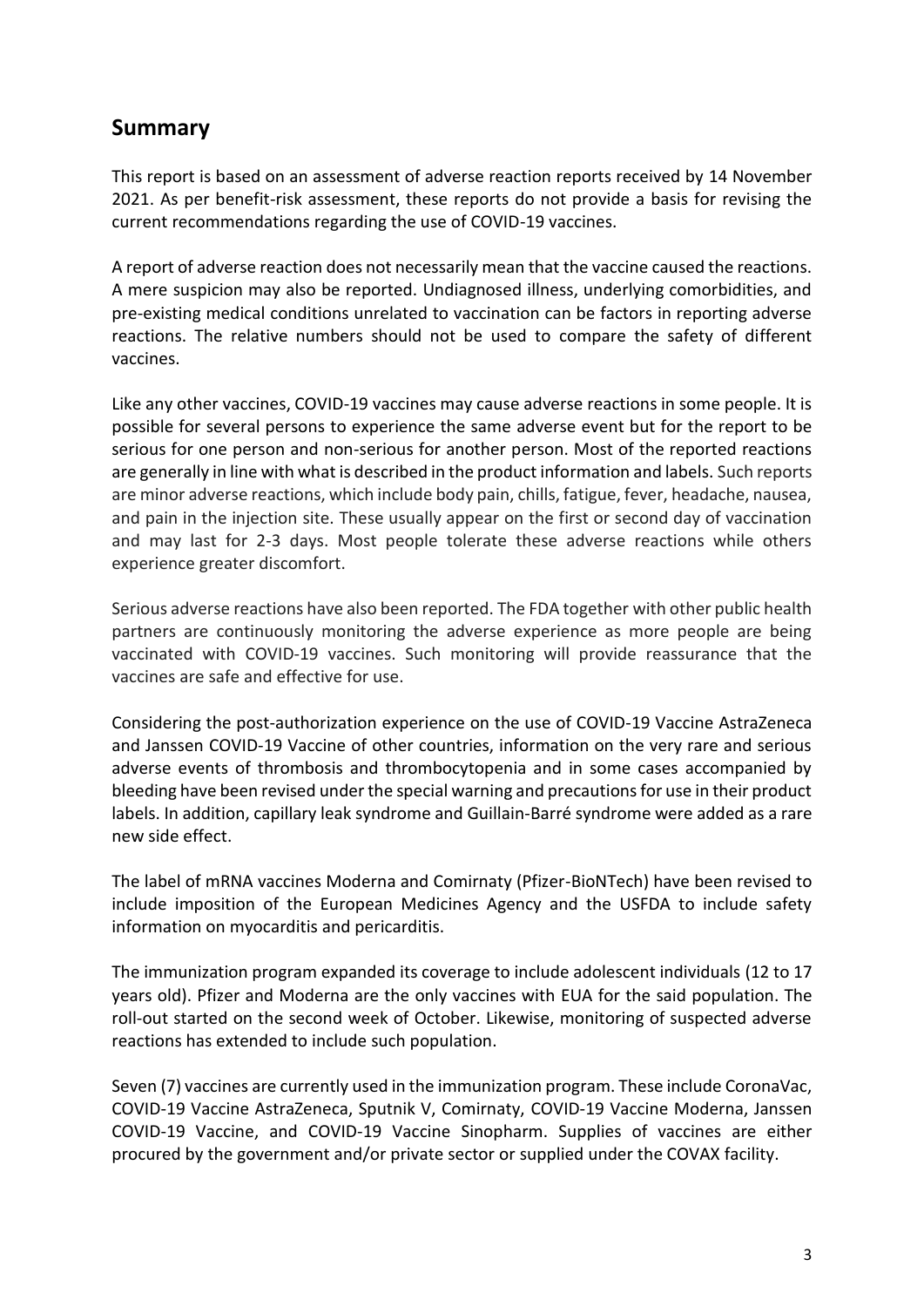## **Summary**

This report is based on an assessment of adverse reaction reports received by 14 November 2021. As per benefit-risk assessment, these reports do not provide a basis for revising the current recommendations regarding the use of COVID-19 vaccines.

A report of adverse reaction does not necessarily mean that the vaccine caused the reactions. A mere suspicion may also be reported. Undiagnosed illness, underlying comorbidities, and pre-existing medical conditions unrelated to vaccination can be factors in reporting adverse reactions. The relative numbers should not be used to compare the safety of different vaccines.

Like any other vaccines, COVID-19 vaccines may cause adverse reactions in some people. It is possible for several persons to experience the same adverse event but for the report to be serious for one person and non-serious for another person. Most of the reported reactions are generally in line with what is described in the product information and labels. Such reports are minor adverse reactions, which include body pain, chills, fatigue, fever, headache, nausea, and pain in the injection site. These usually appear on the first or second day of vaccination and may last for 2-3 days. Most people tolerate these adverse reactions while others experience greater discomfort.

Serious adverse reactions have also been reported. The FDA together with other public health partners are continuously monitoring the adverse experience as more people are being vaccinated with COVID-19 vaccines. Such monitoring will provide reassurance that the vaccines are safe and effective for use.

Considering the post-authorization experience on the use of COVID-19 Vaccine AstraZeneca and Janssen COVID-19 Vaccine of other countries, information on the very rare and serious adverse events of thrombosis and thrombocytopenia and in some cases accompanied by bleeding have been revised under the special warning and precautions for use in their product labels. In addition, capillary leak syndrome and Guillain-Barré syndrome were added as a rare new side effect.

The label of mRNA vaccines Moderna and Comirnaty (Pfizer-BioNTech) have been revised to include imposition of the European Medicines Agency and the USFDA to include safety information on myocarditis and pericarditis.

The immunization program expanded its coverage to include adolescent individuals (12 to 17 years old). Pfizer and Moderna are the only vaccines with EUA for the said population. The roll-out started on the second week of October. Likewise, monitoring of suspected adverse reactions has extended to include such population.

Seven (7) vaccines are currently used in the immunization program. These include CoronaVac, COVID-19 Vaccine AstraZeneca, Sputnik V, Comirnaty, COVID-19 Vaccine Moderna, Janssen COVID-19 Vaccine, and COVID-19 Vaccine Sinopharm. Supplies of vaccines are either procured by the government and/or private sector or supplied under the COVAX facility.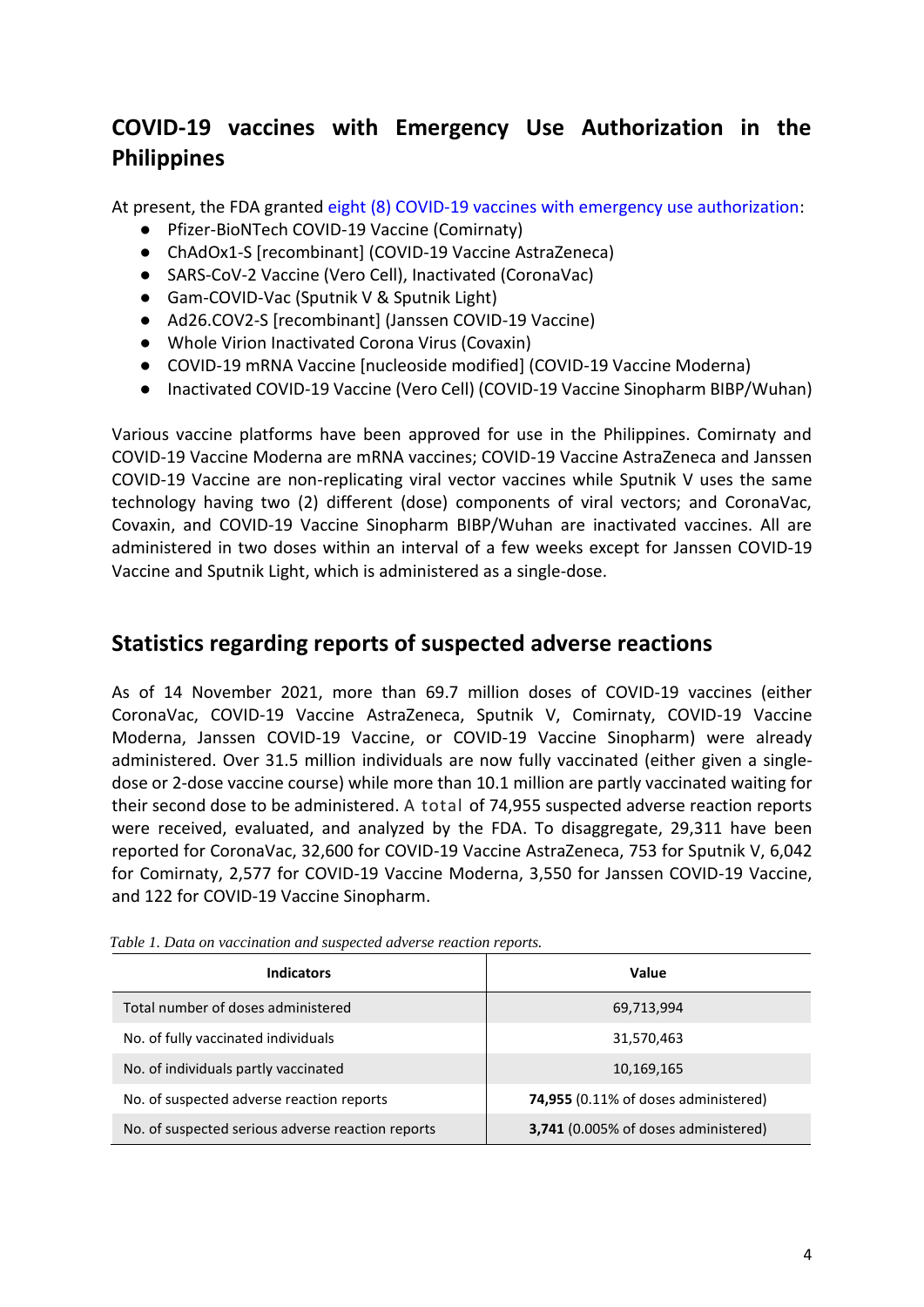# **COVID-19 vaccines with Emergency Use Authorization in the Philippines**

At present, the FDA granted [eight \(8\) COVID-19 vaccines with emergency use authorization:](https://www.fda.gov.ph/list-of-fda-issued-emergency-use-authorization/)

- Pfizer-BioNTech COVID-19 Vaccine (Comirnaty)
- ChAdOx1-S [recombinant] (COVID-19 Vaccine AstraZeneca)
- SARS-CoV-2 Vaccine (Vero Cell), Inactivated (CoronaVac)
- Gam-COVID-Vac (Sputnik V & Sputnik Light)
- Ad26.COV2-S [recombinant] (Janssen COVID-19 Vaccine)
- Whole Virion Inactivated Corona Virus (Covaxin)
- COVID-19 mRNA Vaccine [nucleoside modified] (COVID-19 Vaccine Moderna)
- Inactivated COVID-19 Vaccine (Vero Cell) (COVID-19 Vaccine Sinopharm BIBP/Wuhan)

Various vaccine platforms have been approved for use in the Philippines. Comirnaty and COVID-19 Vaccine Moderna are mRNA vaccines; COVID-19 Vaccine AstraZeneca and Janssen COVID-19 Vaccine are non-replicating viral vector vaccines while Sputnik V uses the same technology having two (2) different (dose) components of viral vectors; and CoronaVac, Covaxin, and COVID-19 Vaccine Sinopharm BIBP/Wuhan are inactivated vaccines. All are administered in two doses within an interval of a few weeks except for Janssen COVID-19 Vaccine and Sputnik Light, which is administered as a single-dose.

### **Statistics regarding reports of suspected adverse reactions**

As of 14 November 2021, more than 69.7 million doses of COVID-19 vaccines (either CoronaVac, COVID-19 Vaccine AstraZeneca, Sputnik V, Comirnaty, COVID-19 Vaccine Moderna, Janssen COVID-19 Vaccine, or COVID-19 Vaccine Sinopharm) were already administered. Over 31.5 million individuals are now fully vaccinated (either given a singledose or 2-dose vaccine course) while more than 10.1 million are partly vaccinated waiting for their second dose to be administered. A total of 74,955 suspected adverse reaction reports were received, evaluated, and analyzed by the FDA. To disaggregate, 29,311 have been reported for CoronaVac, 32,600 for COVID-19 Vaccine AstraZeneca, 753 for Sputnik V, 6,042 for Comirnaty, 2,577 for COVID-19 Vaccine Moderna, 3,550 for Janssen COVID-19 Vaccine, and 122 for COVID-19 Vaccine Sinopharm.

| <b>Indicators</b>                                 | Value                                       |
|---------------------------------------------------|---------------------------------------------|
| Total number of doses administered                | 69,713,994                                  |
| No. of fully vaccinated individuals               | 31,570,463                                  |
| No. of individuals partly vaccinated              | 10,169,165                                  |
| No. of suspected adverse reaction reports         | <b>74,955</b> (0.11% of doses administered) |
| No. of suspected serious adverse reaction reports | 3,741 (0.005% of doses administered)        |

*Table 1. Data on vaccination and suspected adverse reaction reports.*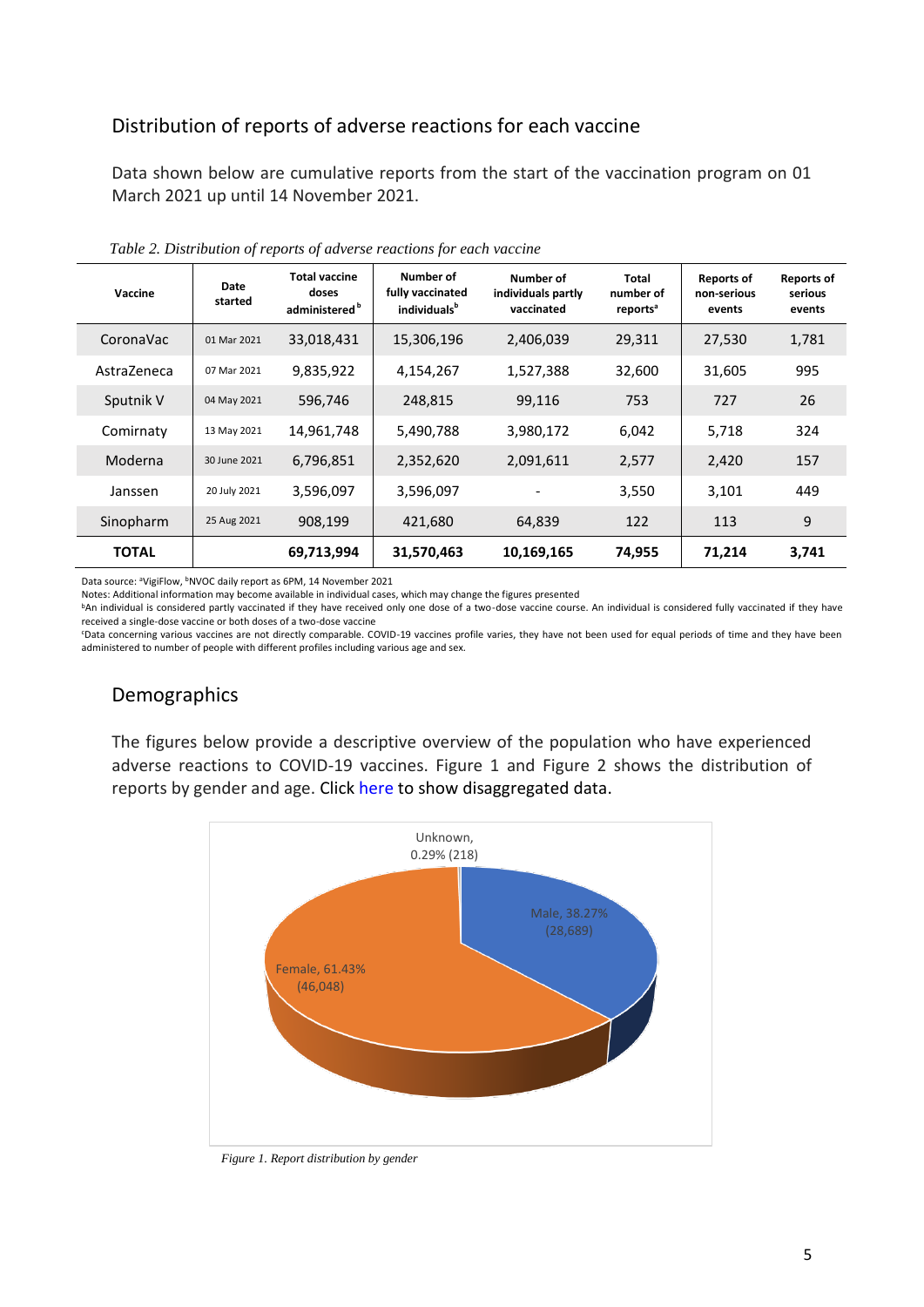### Distribution of reports of adverse reactions for each vaccine

Data shown below are cumulative reports from the start of the vaccination program on 01 March 2021 up until 14 November 2021.

| Vaccine      | Date<br>started | <b>Total vaccine</b><br>doses<br>administered <sup>b</sup> | Number of<br>fully vaccinated<br>individuals <sup>b</sup> | Number of<br>individuals partly<br>vaccinated | Total<br>number of<br>reports <sup>a</sup> | <b>Reports of</b><br>non-serious<br>events | <b>Reports of</b><br>serious<br>events |
|--------------|-----------------|------------------------------------------------------------|-----------------------------------------------------------|-----------------------------------------------|--------------------------------------------|--------------------------------------------|----------------------------------------|
| CoronaVac    | 01 Mar 2021     | 33,018,431                                                 | 15,306,196                                                | 2,406,039                                     | 29,311                                     | 27,530                                     | 1,781                                  |
| AstraZeneca  | 07 Mar 2021     | 9,835,922                                                  | 4,154,267                                                 | 1,527,388                                     | 32,600                                     | 31,605                                     | 995                                    |
| Sputnik V    | 04 May 2021     | 596,746                                                    | 248,815                                                   | 99,116                                        | 753                                        | 727                                        | 26                                     |
| Comirnaty    | 13 May 2021     | 14,961,748                                                 | 5,490,788                                                 | 3,980,172                                     | 6,042                                      | 5,718                                      | 324                                    |
| Moderna      | 30 June 2021    | 6,796,851                                                  | 2,352,620                                                 | 2,091,611                                     | 2,577                                      | 2,420                                      | 157                                    |
| Janssen      | 20 July 2021    | 3,596,097                                                  | 3,596,097                                                 |                                               | 3,550                                      | 3,101                                      | 449                                    |
| Sinopharm    | 25 Aug 2021     | 908,199                                                    | 421,680                                                   | 64,839                                        | 122                                        | 113                                        | 9                                      |
| <b>TOTAL</b> |                 | 69,713,994                                                 | 31,570,463                                                | 10,169,165                                    | 74,955                                     | 71,214                                     | 3,741                                  |

*Table 2. Distribution of reports of adverse reactions for each vaccine*

Data source: <sup>a</sup>VigiFlow, <sup>b</sup>NVOC daily report as 6PM, 14 November 2021

Notes: Additional information may become available in individual cases, which may change the figures presented

bAn individual is considered partly vaccinated if they have received only one dose of a two-dose vaccine course. An individual is considered fully vaccinated if they have received a single-dose vaccine or both doses of a two-dose vaccine

<sup>c</sup>Data concerning various vaccines are not directly comparable. COVID-19 vaccines profile varies, they have not been used for equal periods of time and they have been administered to number of people with different profiles including various age and sex.

### Demographics

The figures below provide a descriptive overview of the population who have experienced adverse reactions to COVID-19 vaccines. Figure 1 and Figure 2 shows the distribution of reports by gender and age. Click [here](https://drive.google.com/drive/folders/1bpT1ldH2x7I6awtGjRA5Ixl6Echw6qDr?usp=sharing) to show disaggregated data.



*Figure 1. Report distribution by gender*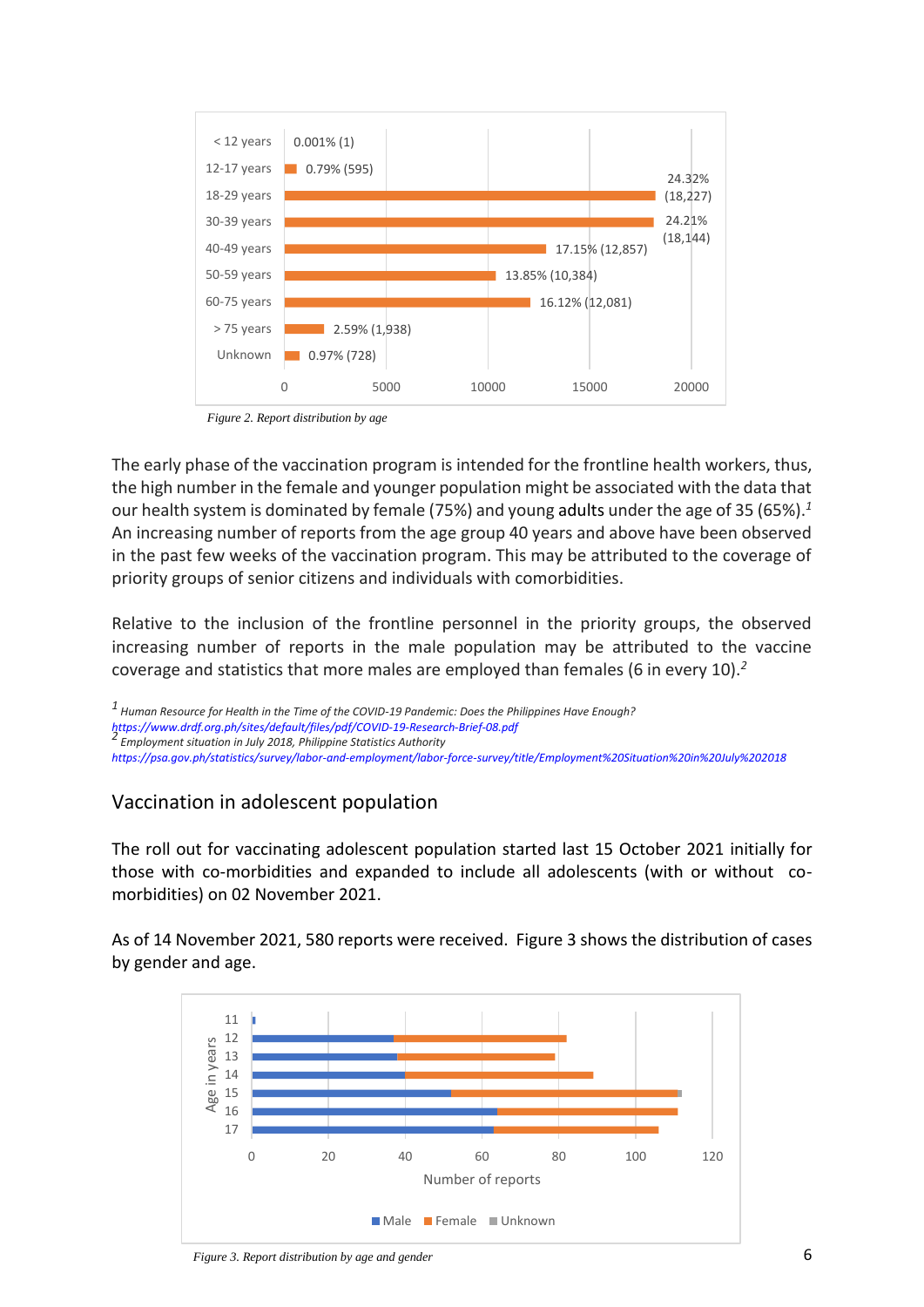

*Figure 2. Report distribution by age*

The early phase of the vaccination program is intended for the frontline health workers, thus, the high number in the female and younger population might be associated with the data that our health system is dominated by female (75%) and young adults under the age of 35 (65%).*<sup>1</sup>* An increasing number of reports from the age group 40 years and above have been observed in the past few weeks of the vaccination program. This may be attributed to the coverage of priority groups of senior citizens and individuals with comorbidities.

Relative to the inclusion of the frontline personnel in the priority groups, the observed increasing number of reports in the male population may be attributed to the vaccine coverage and statistics that more males are employed than females (6 in every 10).*<sup>2</sup>*

*1 Human Resource for Health in the Time of the COVID-19 Pandemic: Does the Philippines Have Enough? <https://www.drdf.org.ph/sites/default/files/pdf/COVID-19-Research-Brief-08.pdf> 2 Employment situation in July 2018, Philippine Statistics Authority*

*<https://psa.gov.ph/statistics/survey/labor-and-employment/labor-force-survey/title/Employment%20Situation%20in%20July%202018>*

### Vaccination in adolescent population

The roll out for vaccinating adolescent population started last 15 October 2021 initially for those with co-morbidities and expanded to include all adolescents (with or without comorbidities) on 02 November 2021.

As of 14 November 2021, 580 reports were received. Figure 3 shows the distribution of cases by gender and age.

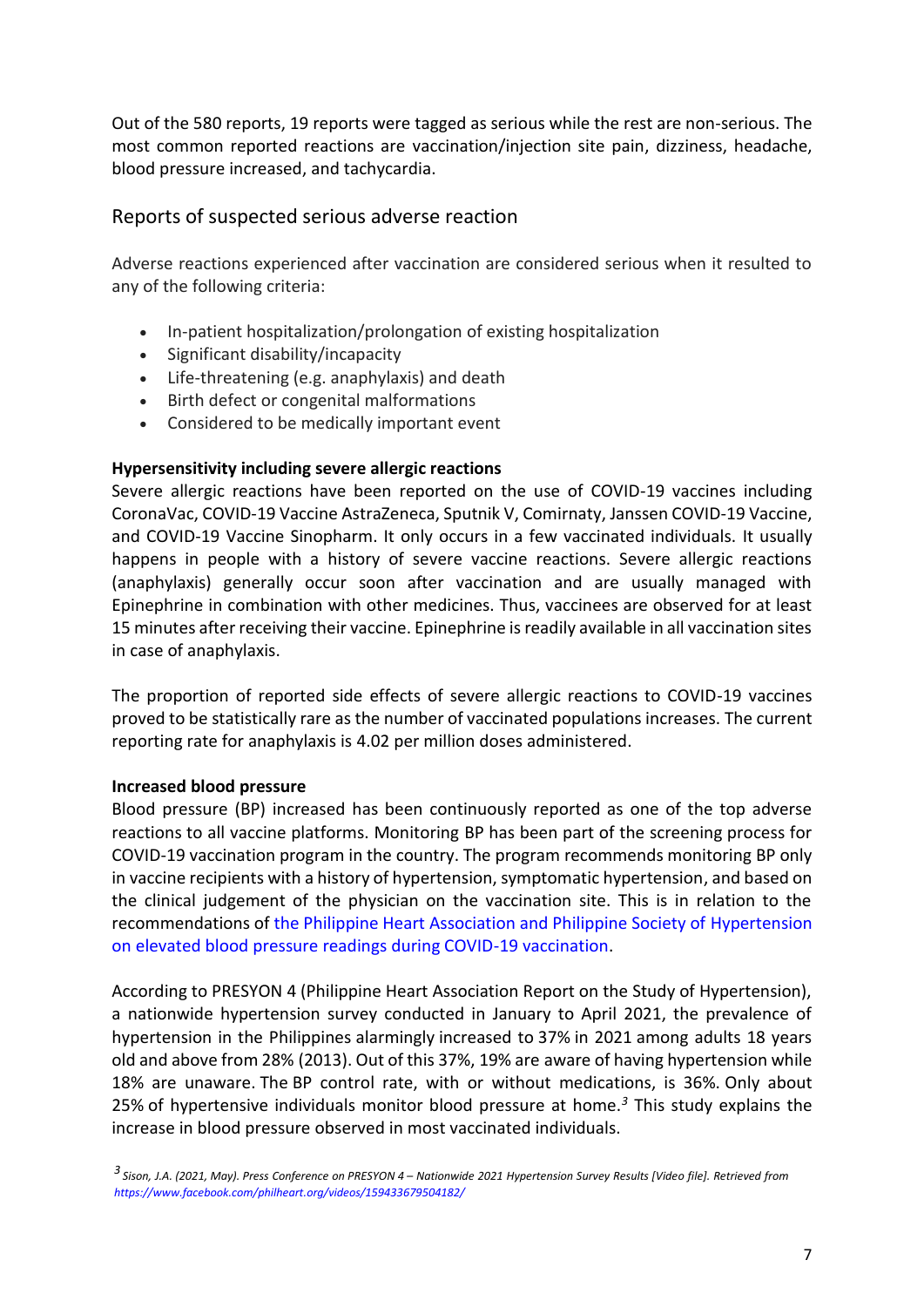Out of the 580 reports, 19 reports were tagged as serious while the rest are non-serious. The most common reported reactions are vaccination/injection site pain, dizziness, headache, blood pressure increased, and tachycardia.

### Reports of suspected serious adverse reaction

Adverse reactions experienced after vaccination are considered serious when it resulted to any of the following criteria:

- In-patient hospitalization/prolongation of existing hospitalization
- Significant disability/incapacity
- Life-threatening (e.g. anaphylaxis) and death
- Birth defect or congenital malformations
- Considered to be medically important event

#### **Hypersensitivity including severe allergic reactions**

Severe allergic reactions have been reported on the use of COVID-19 vaccines including CoronaVac, COVID-19 Vaccine AstraZeneca, Sputnik V, Comirnaty, Janssen COVID-19 Vaccine, and COVID-19 Vaccine Sinopharm. It only occurs in a few vaccinated individuals. It usually happens in people with a history of severe vaccine reactions. Severe allergic reactions (anaphylaxis) generally occur soon after vaccination and are usually managed with Epinephrine in combination with other medicines. Thus, vaccinees are observed for at least 15 minutes after receiving their vaccine. Epinephrine is readily available in all vaccination sites in case of anaphylaxis.

The proportion of reported side effects of severe allergic reactions to COVID-19 vaccines proved to be statistically rare as the number of vaccinated populations increases. The current reporting rate for anaphylaxis is 4.02 per million doses administered.

#### **Increased blood pressure**

Blood pressure (BP) increased has been continuously reported as one of the top adverse reactions to all vaccine platforms. Monitoring BP has been part of the screening process for COVID-19 vaccination program in the country. The program recommends monitoring BP only in vaccine recipients with a history of hypertension, symptomatic hypertension, and based on the clinical judgement of the physician on the vaccination site. This is in relation to the recommendations of [the Philippine Heart Association and Philippine Society of Hypertension](https://pcp.org.ph/index.php/position-statements)  [on elevated blood pressure readings during COVID-19 vaccination.](https://pcp.org.ph/index.php/position-statements)

According to PRESYON 4 (Philippine Heart Association Report on the Study of Hypertension), a nationwide hypertension survey conducted in January to April 2021, the prevalence of hypertension in the Philippines alarmingly increased to 37% in 2021 among adults 18 years old and above from 28% (2013). Out of this 37%, 19% are aware of having hypertension while 18% are unaware. The BP control rate, with or without medications, is 36%. Only about 25% of hypertensive individuals monitor blood pressure at home.*<sup>3</sup>* This study explains the increase in blood pressure observed in most vaccinated individuals.

*<sup>3</sup> Sison, J.A. (2021, May). Press Conference on PRESYON 4 – Nationwide 2021 Hypertension Survey Results [Video file]. Retrieved from <https://www.facebook.com/philheart.org/videos/159433679504182/>*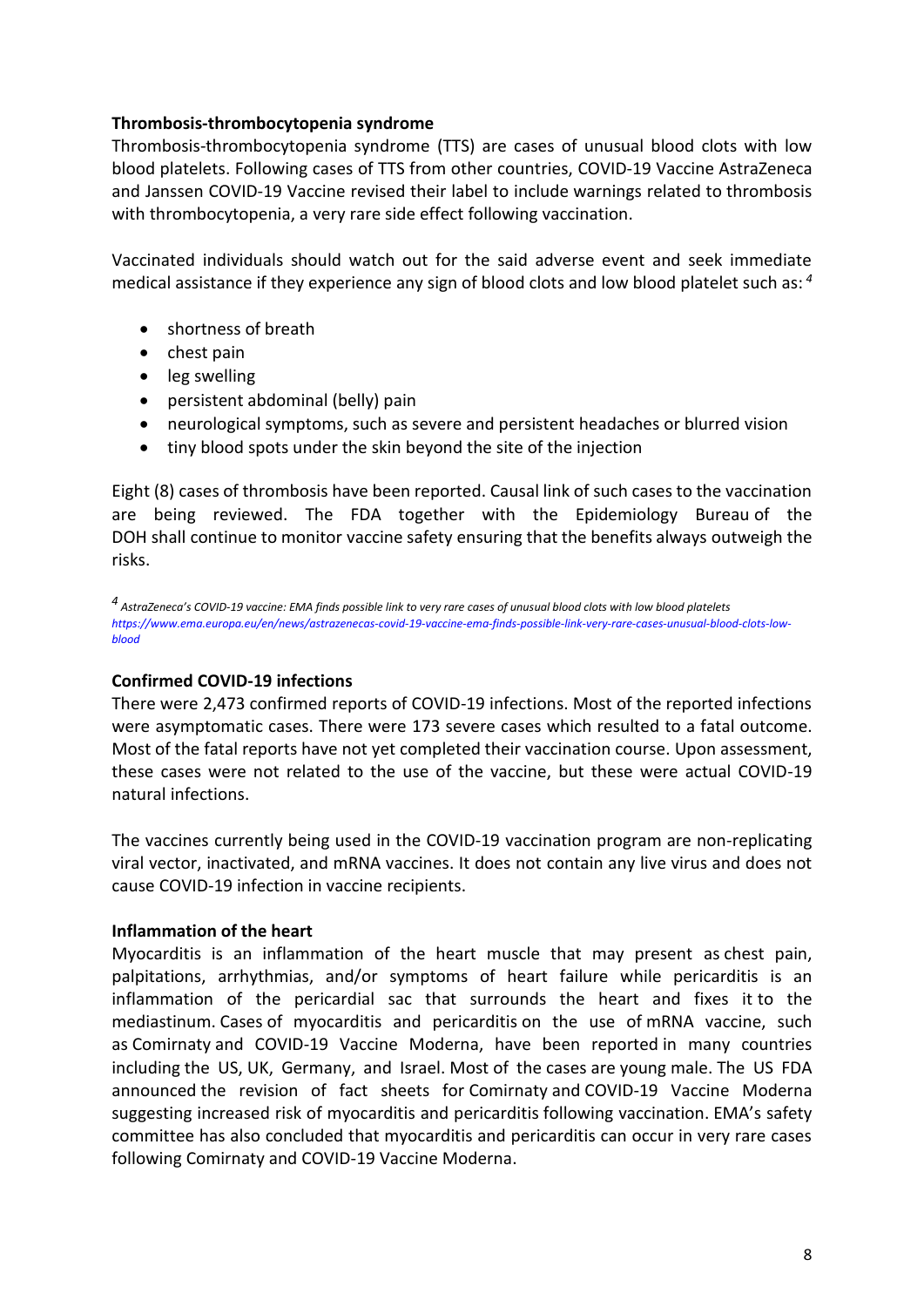#### **Thrombosis-thrombocytopenia syndrome**

Thrombosis-thrombocytopenia syndrome (TTS) are cases of unusual blood clots with low blood platelets. Following cases of TTS from other countries, COVID-19 Vaccine AstraZeneca and Janssen COVID-19 Vaccine revised their label to include warnings related to thrombosis with thrombocytopenia, a very rare side effect following vaccination.

Vaccinated individuals should watch out for the said adverse event and seek immediate medical assistance if they experience any sign of blood clots and low blood platelet such as: *<sup>4</sup>*

- shortness of breath
- $\bullet$  chest pain
- leg swelling
- persistent abdominal (belly) pain
- neurological symptoms, such as severe and persistent headaches or blurred vision
- tiny blood spots under the skin beyond the site of the injection

Eight (8) cases of thrombosis have been reported. Causal link of such cases to the vaccination are being reviewed. The FDA together with the Epidemiology Bureau of the DOH shall continue to monitor vaccine safety ensuring that the benefits always outweigh the risks.

*4 AstraZeneca's COVID-19 vaccine: EMA finds possible link to very rare cases of unusual blood clots with low blood platelets [https://www.ema.europa.eu/en/news/astrazenecas-covid-19-vaccine-ema-finds-possible-link-very-rare-cases-unusual-blood-clots-low](https://www.ema.europa.eu/en/news/astrazenecas-covid-19-vaccine-ema-finds-possible-link-very-rare-cases-unusual-blood-clots-low-blood)[blood](https://www.ema.europa.eu/en/news/astrazenecas-covid-19-vaccine-ema-finds-possible-link-very-rare-cases-unusual-blood-clots-low-blood)*

#### **Confirmed COVID-19 infections**

There were 2,473 confirmed reports of COVID-19 infections. Most of the reported infections were asymptomatic cases. There were 173 severe cases which resulted to a fatal outcome. Most of the fatal reports have not yet completed their vaccination course. Upon assessment, these cases were not related to the use of the vaccine, but these were actual COVID-19 natural infections.

The vaccines currently being used in the COVID-19 vaccination program are non-replicating viral vector, inactivated, and mRNA vaccines. It does not contain any live virus and does not cause COVID-19 infection in vaccine recipients.

#### **Inflammation of the heart**

Myocarditis is an inflammation of the heart muscle that may present as chest pain, palpitations, arrhythmias, and/or symptoms of heart failure while pericarditis is an inflammation of the pericardial sac that surrounds the heart and fixes it to the mediastinum. Cases of myocarditis and pericarditis on the use of mRNA vaccine, such as Comirnaty and COVID-19 Vaccine Moderna, have been reported in many countries including the US, UK, Germany, and Israel. Most of the cases are young male. The US FDA announced the revision of fact sheets for Comirnaty and COVID-19 Vaccine Moderna suggesting increased risk of myocarditis and pericarditis following vaccination. EMA's safety committee has also concluded that myocarditis and pericarditis can occur in very rare cases following Comirnaty and COVID-19 Vaccine Moderna.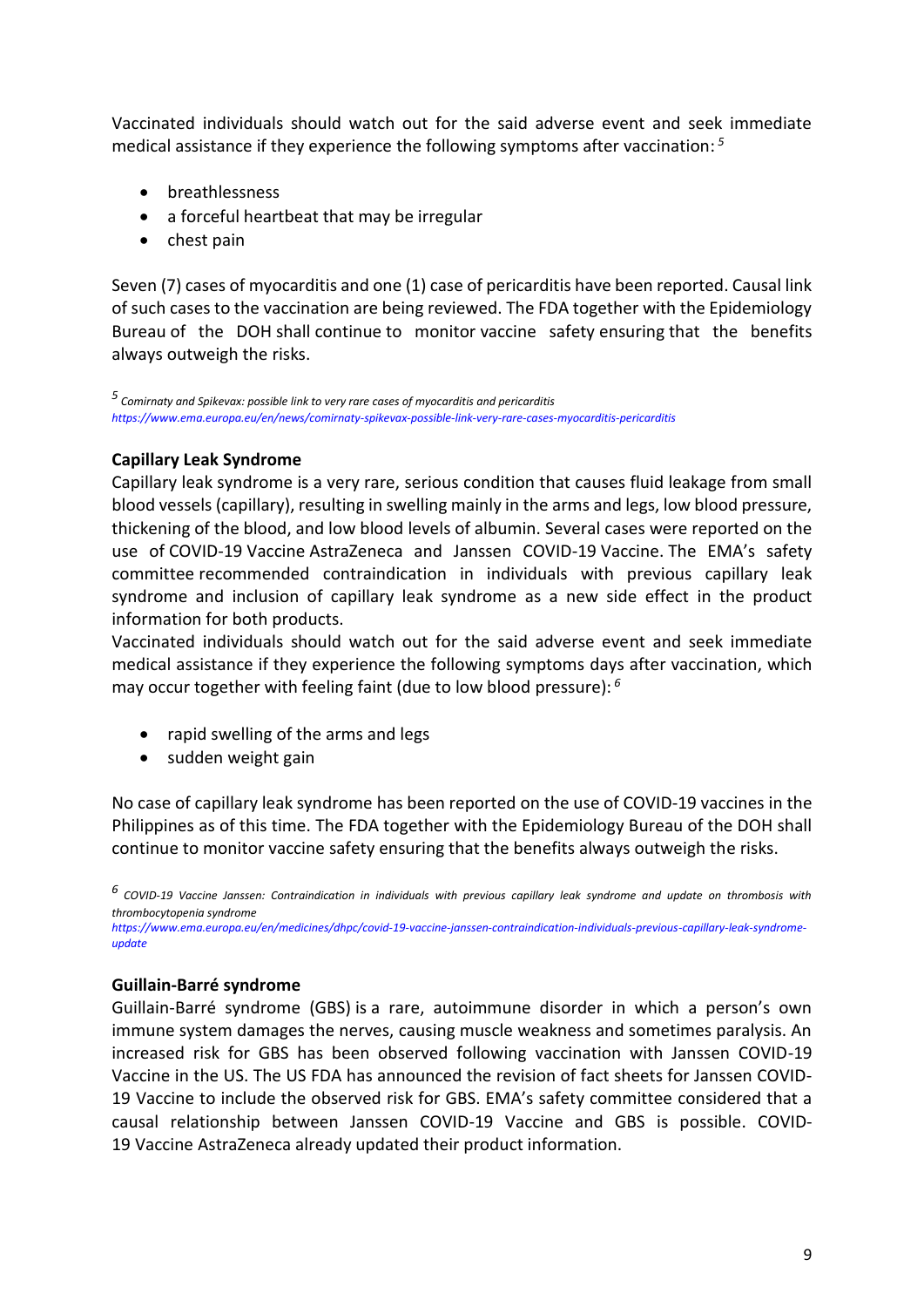Vaccinated individuals should watch out for the said adverse event and seek immediate medical assistance if they experience the following symptoms after vaccination: *5*

- breathlessness
- a forceful heartbeat that may be irregular
- $\bullet$  chest pain

Seven (7) cases of myocarditis and one (1) case of pericarditis have been reported. Causal link of such cases to the vaccination are being reviewed. The FDA together with the Epidemiology Bureau of the DOH shall continue to monitor vaccine safety ensuring that the benefits always outweigh the risks.

*5 Comirnaty and Spikevax: possible link to very rare cases of myocarditis and pericarditis <https://www.ema.europa.eu/en/news/comirnaty-spikevax-possible-link-very-rare-cases-myocarditis-pericarditis>*

#### **Capillary Leak Syndrome**

Capillary leak syndrome is a very rare, serious condition that causes fluid leakage from small blood vessels (capillary), resulting in swelling mainly in the arms and legs, low blood pressure, thickening of the blood, and low blood levels of albumin. Several cases were reported on the use of COVID-19 Vaccine AstraZeneca and Janssen COVID-19 Vaccine. The EMA's safety committee recommended contraindication in individuals with previous capillary leak syndrome and inclusion of capillary leak syndrome as a new side effect in the product information for both products.

Vaccinated individuals should watch out for the said adverse event and seek immediate medical assistance if they experience the following symptoms days after vaccination, which may occur together with feeling faint (due to low blood pressure): *6*

- rapid swelling of the arms and legs
- $\bullet$  sudden weight gain

No case of capillary leak syndrome has been reported on the use of COVID-19 vaccines in the Philippines as of this time. The FDA together with the Epidemiology Bureau of the DOH shall continue to monitor vaccine safety ensuring that the benefits always outweigh the risks.

*6 COVID-19 Vaccine Janssen: Contraindication in individuals with previous capillary leak syndrome and update on thrombosis with thrombocytopenia syndrome*

*[https://www.ema.europa.eu/en/medicines/dhpc/covid-19-vaccine-janssen-contraindication-individuals-previous-capillary-leak-syndrome](https://www.ema.europa.eu/en/medicines/dhpc/covid-19-vaccine-janssen-contraindication-individuals-previous-capillary-leak-syndrome-update)[update](https://www.ema.europa.eu/en/medicines/dhpc/covid-19-vaccine-janssen-contraindication-individuals-previous-capillary-leak-syndrome-update)*

#### **Guillain-Barré syndrome**

Guillain-Barré syndrome (GBS) is a rare, autoimmune disorder in which a person's own immune system damages the nerves, causing muscle weakness and sometimes paralysis. An increased risk for GBS has been observed following vaccination with Janssen COVID-19 Vaccine in the US. The US FDA has announced the revision of fact sheets for Janssen COVID-19 Vaccine to include the observed risk for GBS. EMA's safety committee considered that a causal relationship between Janssen COVID-19 Vaccine and GBS is possible. COVID-19 Vaccine AstraZeneca already updated their product information.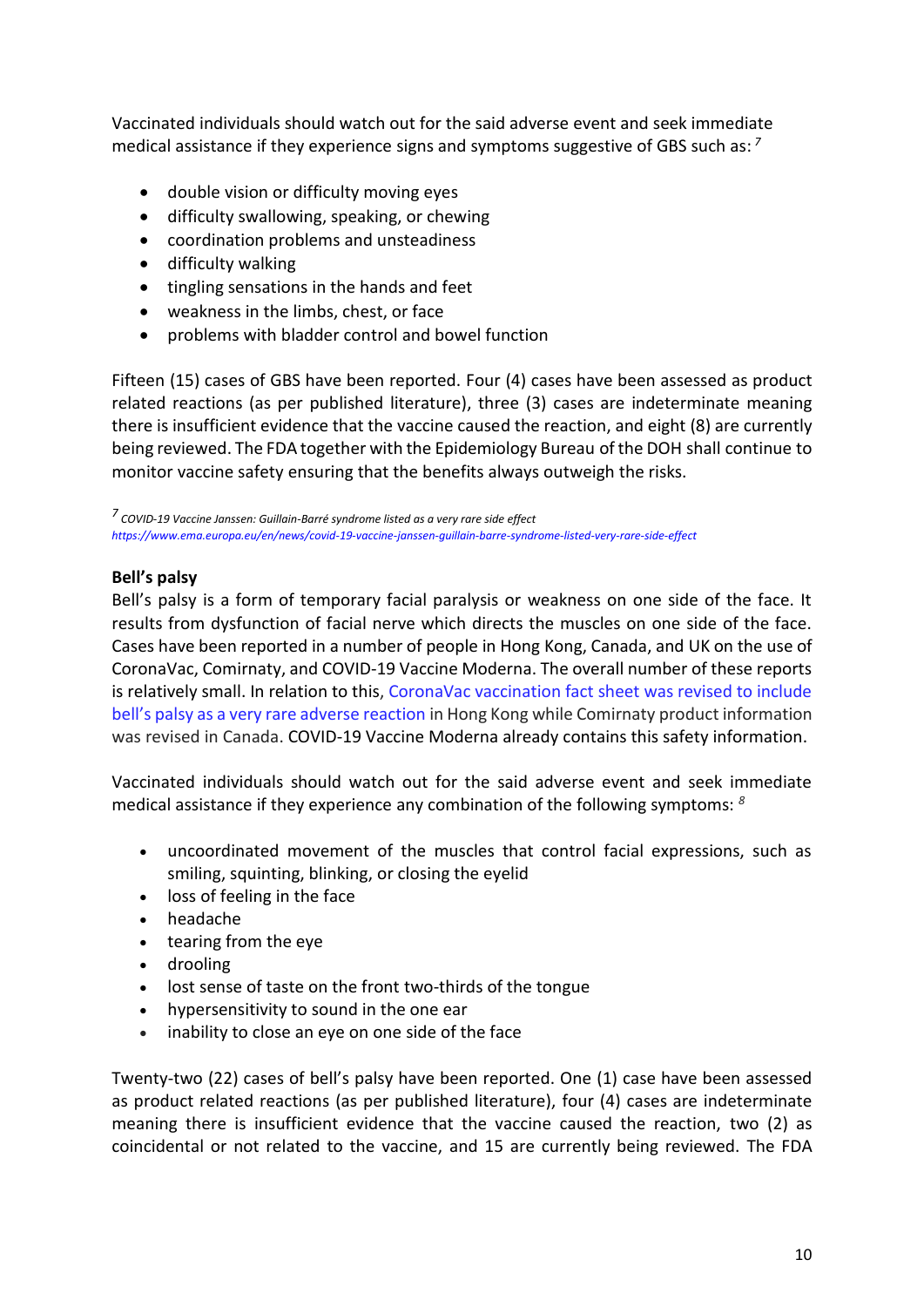Vaccinated individuals should watch out for the said adverse event and seek immediate medical assistance if they experience signs and symptoms suggestive of GBS such as: *7*

- double vision or difficulty moving eyes
- difficulty swallowing, speaking, or chewing
- coordination problems and unsteadiness
- difficulty walking
- tingling sensations in the hands and feet
- weakness in the limbs, chest, or face
- problems with bladder control and bowel function

Fifteen (15) cases of GBS have been reported. Four (4) cases have been assessed as product related reactions (as per published literature), three (3) cases are indeterminate meaning there is insufficient evidence that the vaccine caused the reaction, and eight (8) are currently being reviewed. The FDA together with the Epidemiology Bureau of the DOH shall continue to monitor vaccine safety ensuring that the benefits always outweigh the risks.

*7 COVID-19 Vaccine Janssen: Guillain-Barré syndrome listed as a very rare side effect <https://www.ema.europa.eu/en/news/covid-19-vaccine-janssen-guillain-barre-syndrome-listed-very-rare-side-effect>*

#### **Bell's palsy**

Bell's palsy is a form of temporary facial paralysis or weakness on one side of the face. It results from dysfunction of facial nerve which directs the muscles on one side of the face. Cases have been reported in a number of people in Hong Kong, Canada, and UK on the use of CoronaVac, Comirnaty, and COVID-19 Vaccine Moderna. The overall number of these reports is relatively small. In relation to this, [CoronaVac vaccination fact sheet was revised to include](https://www.drugoffice.gov.hk/eps/do/en/doc/Safety_Monitoring_of_COVID-19_Vaccines_in_Hong_Kong.pdf)  [bell's palsy as a very rare adverse reaction](https://www.drugoffice.gov.hk/eps/do/en/doc/Safety_Monitoring_of_COVID-19_Vaccines_in_Hong_Kong.pdf) in Hong Kong while Comirnaty product information was revised in Canada. COVID-19 Vaccine Moderna already contains this safety information.

Vaccinated individuals should watch out for the said adverse event and seek immediate medical assistance if they experience any combination of the following symptoms: *<sup>8</sup>*

- uncoordinated movement of the muscles that control facial expressions, such as smiling, squinting, blinking, or closing the eyelid
- loss of feeling in the face
- headache
- tearing from the eye
- drooling
- lost sense of taste on the front two-thirds of the tongue
- hypersensitivity to sound in the one ear
- inability to close an eye on one side of the face

Twenty-two (22) cases of bell's palsy have been reported. One (1) case have been assessed as product related reactions (as per published literature), four (4) cases are indeterminate meaning there is insufficient evidence that the vaccine caused the reaction, two (2) as coincidental or not related to the vaccine, and 15 are currently being reviewed. The FDA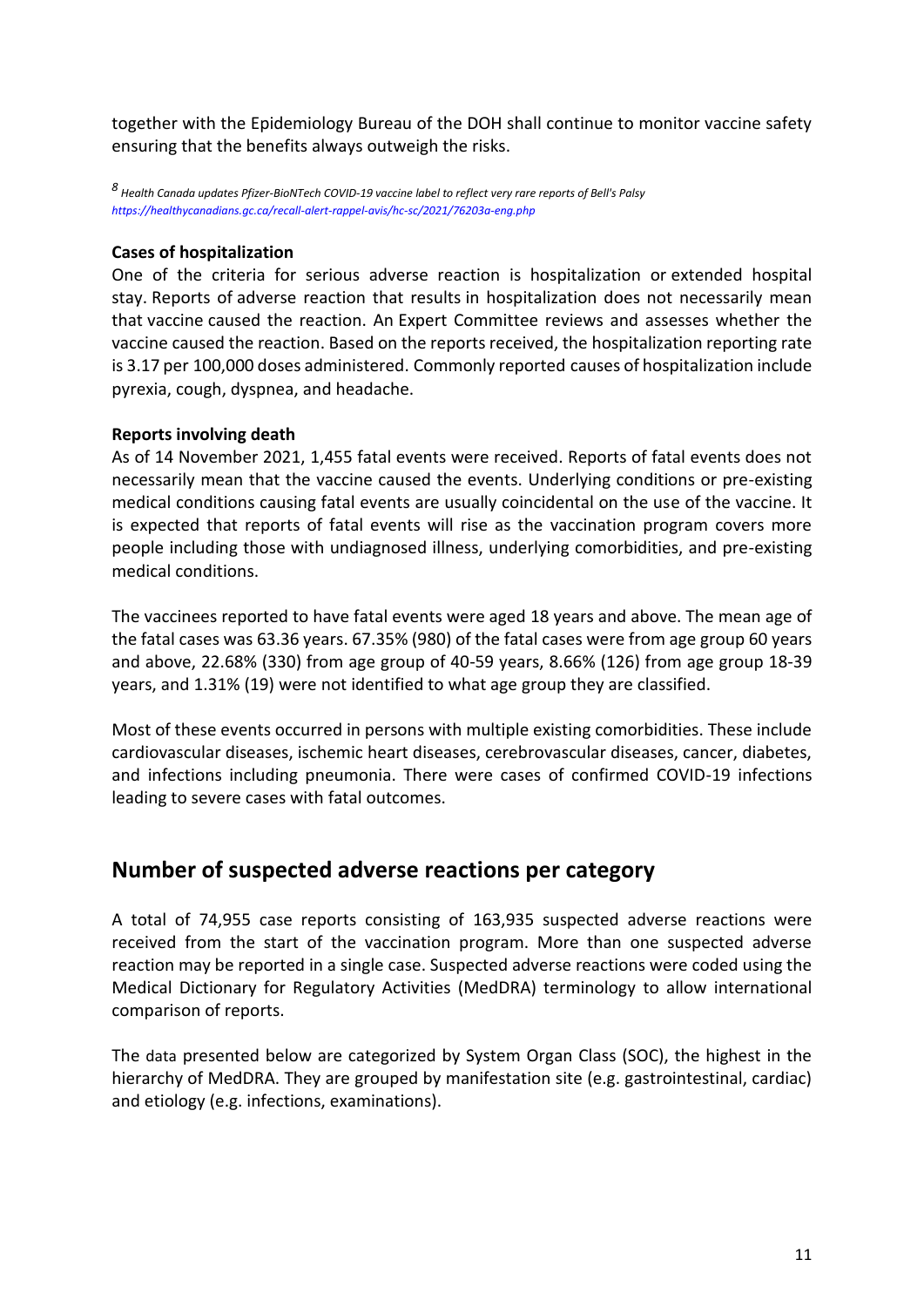together with the Epidemiology Bureau of the DOH shall continue to monitor vaccine safety ensuring that the benefits always outweigh the risks.

*8 Health Canada updates Pfizer-BioNTech COVID-19 vaccine label to reflect very rare reports of Bell's Palsy <https://healthycanadians.gc.ca/recall-alert-rappel-avis/hc-sc/2021/76203a-eng.php>*

#### **Cases of hospitalization**

One of the criteria for serious adverse reaction is hospitalization or extended hospital stay. Reports of adverse reaction that results in hospitalization does not necessarily mean that vaccine caused the reaction. An Expert Committee reviews and assesses whether the vaccine caused the reaction. Based on the reports received, the hospitalization reporting rate is 3.17 per 100,000 doses administered. Commonly reported causes of hospitalization include pyrexia, cough, dyspnea, and headache.

#### **Reports involving death**

As of 14 November 2021, 1,455 fatal events were received. Reports of fatal events does not necessarily mean that the vaccine caused the events. Underlying conditions or pre-existing medical conditions causing fatal events are usually coincidental on the use of the vaccine. It is expected that reports of fatal events will rise as the vaccination program covers more people including those with undiagnosed illness, underlying comorbidities, and pre-existing medical conditions.

The vaccinees reported to have fatal events were aged 18 years and above. The mean age of the fatal cases was 63.36 years. 67.35% (980) of the fatal cases were from age group 60 years and above, 22.68% (330) from age group of 40-59 years, 8.66% (126) from age group 18-39 years, and 1.31% (19) were not identified to what age group they are classified.

Most of these events occurred in persons with multiple existing comorbidities. These include cardiovascular diseases, ischemic heart diseases, cerebrovascular diseases, cancer, diabetes, and infections including pneumonia. There were cases of confirmed COVID-19 infections leading to severe cases with fatal outcomes.

### **Number of suspected adverse reactions per category**

A total of 74,955 case reports consisting of 163,935 suspected adverse reactions were received from the start of the vaccination program. More than one suspected adverse reaction may be reported in a single case. Suspected adverse reactions were coded using the Medical Dictionary for Regulatory Activities (MedDRA) terminology to allow international comparison of reports.

The data presented below are categorized by System Organ Class (SOC), the highest in the hierarchy of MedDRA. They are grouped by manifestation site (e.g. gastrointestinal, cardiac) and etiology (e.g. infections, examinations).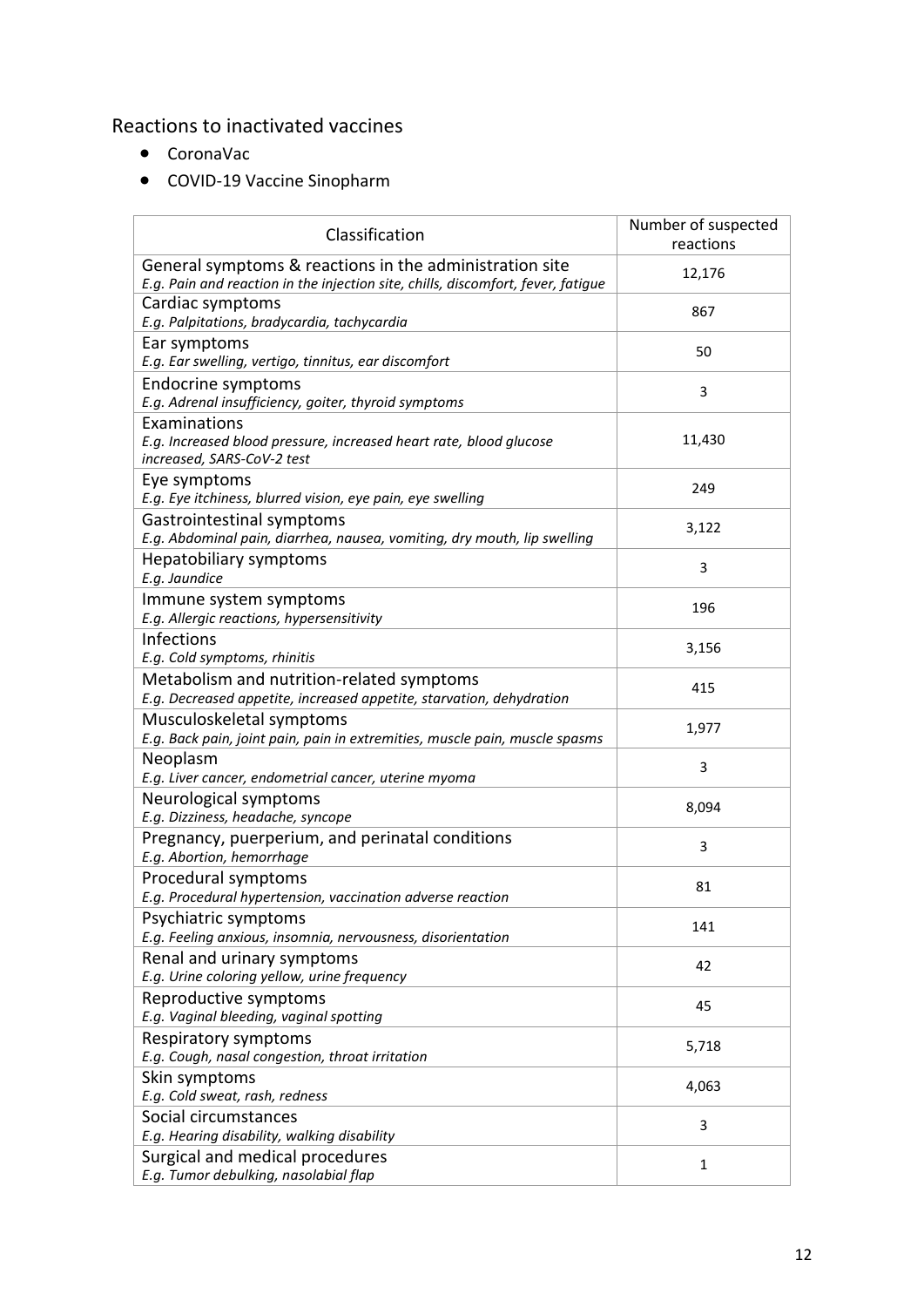### Reactions to inactivated vaccines

- CoronaVac
- COVID-19 Vaccine Sinopharm

| Classification                                                                                                                              | Number of suspected<br>reactions |
|---------------------------------------------------------------------------------------------------------------------------------------------|----------------------------------|
| General symptoms & reactions in the administration site<br>E.g. Pain and reaction in the injection site, chills, discomfort, fever, fatigue | 12,176                           |
| Cardiac symptoms<br>E.g. Palpitations, bradycardia, tachycardia                                                                             | 867                              |
| Ear symptoms<br>E.g. Ear swelling, vertigo, tinnitus, ear discomfort                                                                        | 50                               |
| Endocrine symptoms<br>E.g. Adrenal insufficiency, goiter, thyroid symptoms                                                                  | 3                                |
| Examinations<br>E.g. Increased blood pressure, increased heart rate, blood glucose<br>increased, SARS-CoV-2 test                            | 11,430                           |
| Eye symptoms<br>E.g. Eye itchiness, blurred vision, eye pain, eye swelling                                                                  | 249                              |
| Gastrointestinal symptoms<br>E.g. Abdominal pain, diarrhea, nausea, vomiting, dry mouth, lip swelling                                       | 3,122                            |
| <b>Hepatobiliary symptoms</b><br>E.g. Jaundice                                                                                              | 3                                |
| Immune system symptoms<br>E.g. Allergic reactions, hypersensitivity                                                                         | 196                              |
| <b>Infections</b><br>E.g. Cold symptoms, rhinitis                                                                                           | 3,156                            |
| Metabolism and nutrition-related symptoms<br>E.g. Decreased appetite, increased appetite, starvation, dehydration                           | 415                              |
| Musculoskeletal symptoms<br>E.g. Back pain, joint pain, pain in extremities, muscle pain, muscle spasms                                     | 1,977                            |
| Neoplasm<br>E.g. Liver cancer, endometrial cancer, uterine myoma                                                                            | 3                                |
| Neurological symptoms<br>E.g. Dizziness, headache, syncope                                                                                  | 8,094                            |
| Pregnancy, puerperium, and perinatal conditions<br>E.g. Abortion, hemorrhage                                                                | 3                                |
| Procedural symptoms<br>E.g. Procedural hypertension, vaccination adverse reaction                                                           | 81                               |
| Psychiatric symptoms<br>E.g. Feeling anxious, insomnia, nervousness, disorientation                                                         | 141                              |
| Renal and urinary symptoms<br>E.g. Urine coloring yellow, urine frequency                                                                   | 42                               |
| Reproductive symptoms<br>E.g. Vaginal bleeding, vaginal spotting                                                                            | 45                               |
| Respiratory symptoms<br>E.g. Cough, nasal congestion, throat irritation                                                                     | 5,718                            |
| Skin symptoms<br>E.g. Cold sweat, rash, redness                                                                                             | 4,063                            |
| Social circumstances<br>E.g. Hearing disability, walking disability                                                                         | 3                                |
| Surgical and medical procedures<br>E.g. Tumor debulking, nasolabial flap                                                                    | 1                                |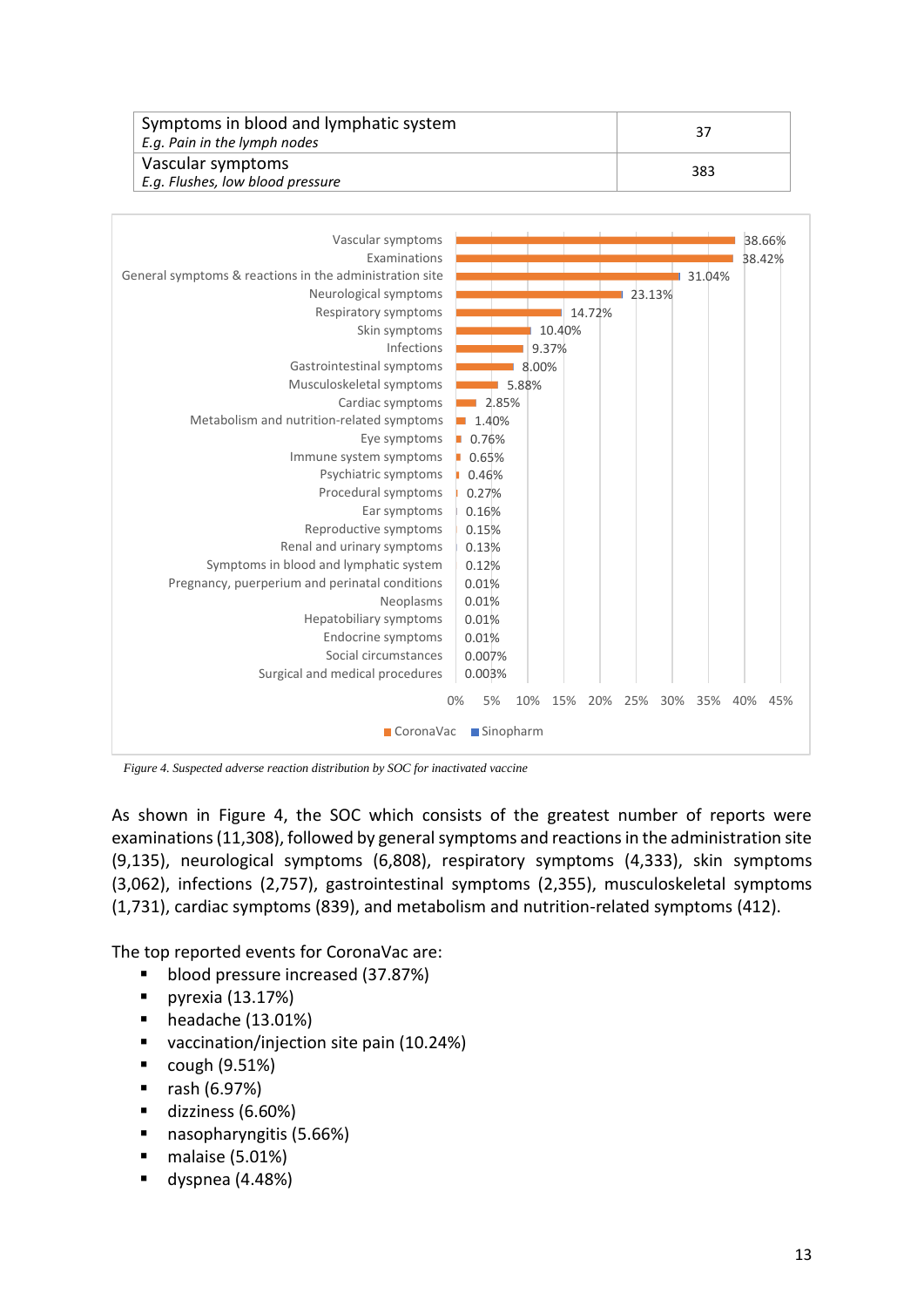| Symptoms in blood and lymphatic system<br>E.g. Pain in the lymph nodes | 37  |
|------------------------------------------------------------------------|-----|
| Vascular symptoms<br>E.g. Flushes, low blood pressure                  | 383 |



*Figure 4. Suspected adverse reaction distribution by SOC for inactivated vaccine*

As shown in Figure 4, the SOC which consists of the greatest number of reports were examinations (11,308), followed by general symptoms and reactions in the administration site (9,135), neurological symptoms (6,808), respiratory symptoms (4,333), skin symptoms (3,062), infections (2,757), gastrointestinal symptoms (2,355), musculoskeletal symptoms (1,731), cardiac symptoms (839), and metabolism and nutrition-related symptoms (412).

The top reported events for CoronaVac are:

- **blood pressure increased (37.87%)**
- pyrexia  $(13.17%)$
- headache (13.01%)
- vaccination/injection site pain (10.24%)
- cough (9.51%)
- rash (6.97%)
- dizziness (6.60%)
- nasopharyngitis (5.66%)
- $\blacksquare$  malaise (5.01%)
- $\blacksquare$  dyspnea (4.48%)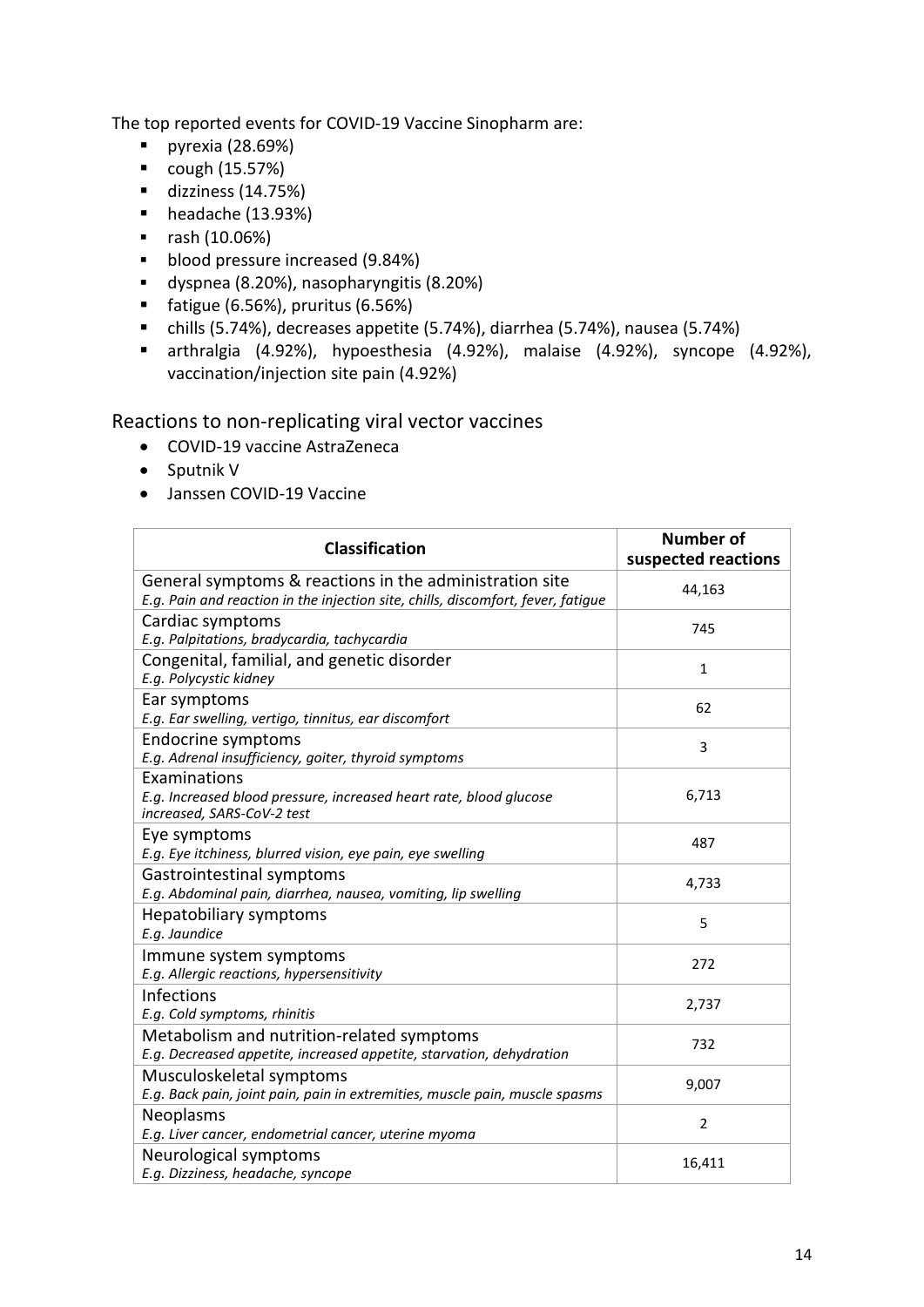The top reported events for COVID-19 Vaccine Sinopharm are:

- pyrexia  $(28.69%)$
- cough (15.57%)
- $\blacksquare$  dizziness (14.75%)
- $\blacksquare$  headache (13.93%)
- $\blacksquare$  rash (10.06%)
- **blood pressure increased (9.84%)**
- dyspnea (8.20%), nasopharyngitis (8.20%)
- $\blacksquare$  fatigue (6.56%), pruritus (6.56%)
- chills (5.74%), decreases appetite (5.74%), diarrhea (5.74%), nausea (5.74%)
- arthralgia (4.92%), hypoesthesia (4.92%), malaise (4.92%), syncope (4.92%), vaccination/injection site pain (4.92%)

Reactions to non-replicating viral vector vaccines

- COVID-19 vaccine AstraZeneca
- Sputnik V
- Janssen COVID-19 Vaccine

| <b>Classification</b>                                                                                                                       | <b>Number of</b><br>suspected reactions |
|---------------------------------------------------------------------------------------------------------------------------------------------|-----------------------------------------|
| General symptoms & reactions in the administration site<br>E.g. Pain and reaction in the injection site, chills, discomfort, fever, fatigue | 44,163                                  |
| Cardiac symptoms<br>E.g. Palpitations, bradycardia, tachycardia                                                                             | 745                                     |
| Congenital, familial, and genetic disorder<br>E.g. Polycystic kidney                                                                        | $\mathbf{1}$                            |
| Ear symptoms<br>E.g. Ear swelling, vertigo, tinnitus, ear discomfort                                                                        | 62                                      |
| Endocrine symptoms<br>E.g. Adrenal insufficiency, goiter, thyroid symptoms                                                                  | 3                                       |
| Examinations<br>E.g. Increased blood pressure, increased heart rate, blood glucose<br>increased, SARS-CoV-2 test                            | 6,713                                   |
| Eye symptoms<br>E.g. Eye itchiness, blurred vision, eye pain, eye swelling                                                                  | 487                                     |
| Gastrointestinal symptoms<br>E.g. Abdominal pain, diarrhea, nausea, vomiting, lip swelling                                                  | 4,733                                   |
| Hepatobiliary symptoms<br>E.g. Jaundice                                                                                                     | 5                                       |
| Immune system symptoms<br>E.g. Allergic reactions, hypersensitivity                                                                         | 272                                     |
| Infections<br>E.g. Cold symptoms, rhinitis                                                                                                  | 2,737                                   |
| Metabolism and nutrition-related symptoms<br>E.g. Decreased appetite, increased appetite, starvation, dehydration                           | 732                                     |
| Musculoskeletal symptoms<br>E.g. Back pain, joint pain, pain in extremities, muscle pain, muscle spasms                                     | 9,007                                   |
| Neoplasms<br>E.g. Liver cancer, endometrial cancer, uterine myoma                                                                           | $\overline{2}$                          |
| Neurological symptoms<br>E.g. Dizziness, headache, syncope                                                                                  | 16,411                                  |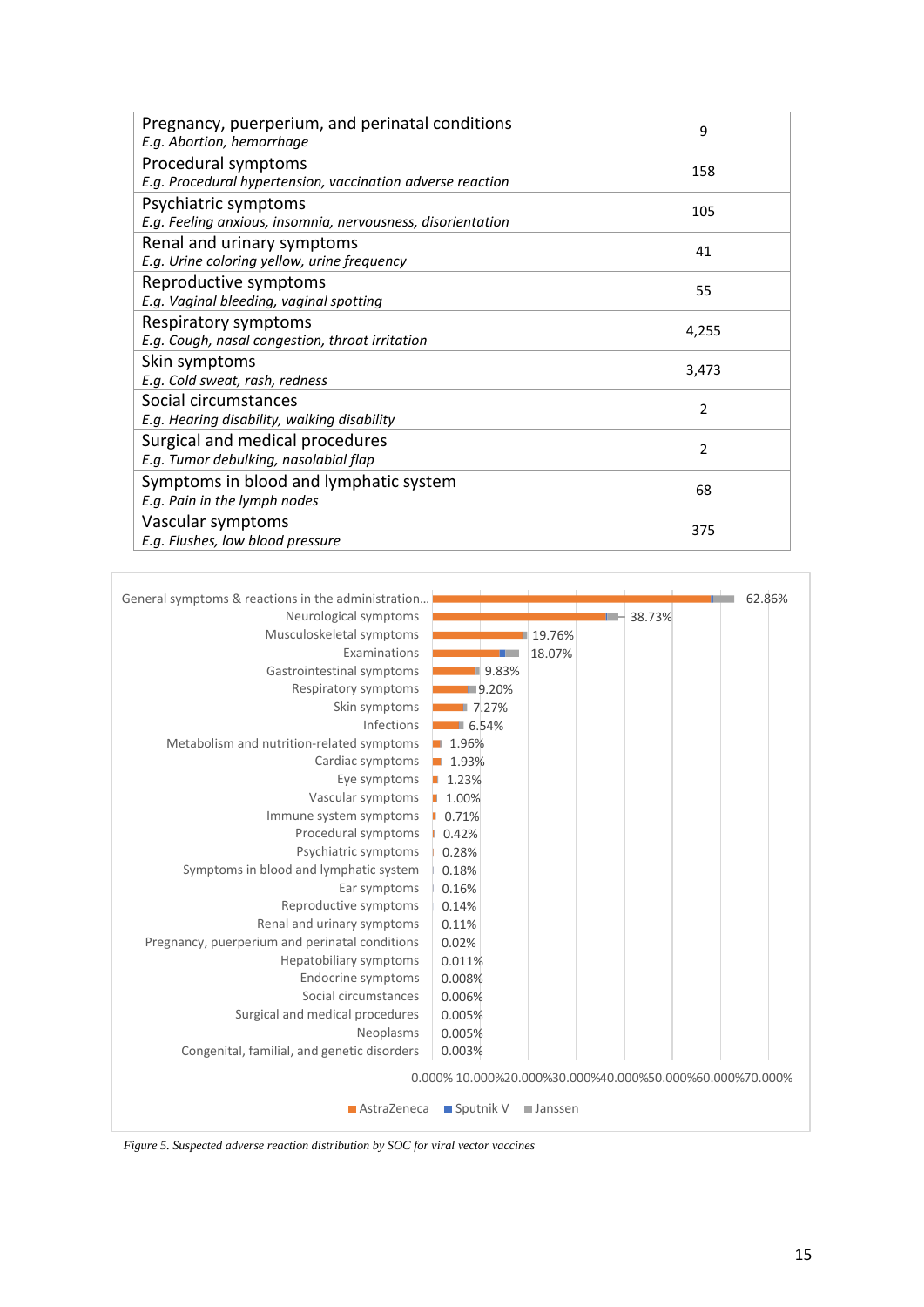| Pregnancy, puerperium, and perinatal conditions<br>E.g. Abortion, hemorrhage        | 9              |
|-------------------------------------------------------------------------------------|----------------|
| Procedural symptoms<br>E.g. Procedural hypertension, vaccination adverse reaction   | 158            |
| Psychiatric symptoms<br>E.g. Feeling anxious, insomnia, nervousness, disorientation | 105            |
| Renal and urinary symptoms<br>E.g. Urine coloring yellow, urine frequency           | 41             |
| Reproductive symptoms<br>E.g. Vaginal bleeding, vaginal spotting                    | 55             |
| Respiratory symptoms<br>E.g. Cough, nasal congestion, throat irritation             | 4,255          |
| Skin symptoms<br>E.g. Cold sweat, rash, redness                                     | 3,473          |
| Social circumstances<br>E.g. Hearing disability, walking disability                 | $\mathfrak{p}$ |
| Surgical and medical procedures<br>E.g. Tumor debulking, nasolabial flap            | $\mathfrak{p}$ |
| Symptoms in blood and lymphatic system<br>E.g. Pain in the lymph nodes              | 68             |
| Vascular symptoms<br>E.g. Flushes, low blood pressure                               | 375            |



*Figure 5. Suspected adverse reaction distribution by SOC for viral vector vaccines*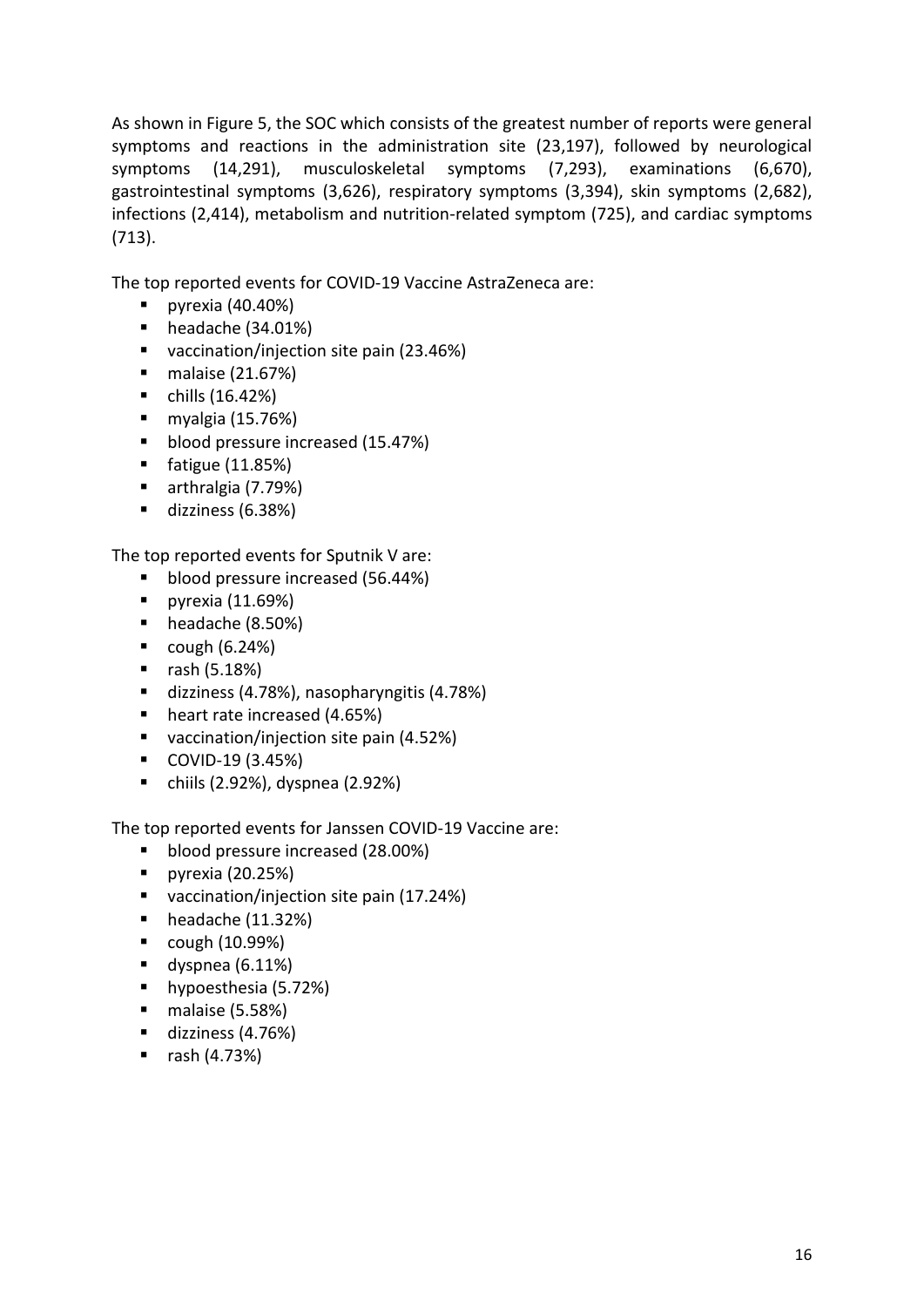As shown in Figure 5, the SOC which consists of the greatest number of reports were general symptoms and reactions in the administration site (23,197), followed by neurological symptoms (14,291), musculoskeletal symptoms (7,293), examinations (6,670), gastrointestinal symptoms (3,626), respiratory symptoms (3,394), skin symptoms (2,682), infections (2,414), metabolism and nutrition-related symptom (725), and cardiac symptoms (713).

The top reported events for COVID-19 Vaccine AstraZeneca are:

- pyrexia  $(40.40\%)$
- headache (34.01%)
- vaccination/injection site pain (23.46%)
- malaise (21.67%)
- $\blacksquare$  chills (16.42%)
- $m$ yalgia (15.76%)
- **blood pressure increased (15.47%)**
- fatigue (11.85%)
- arthralgia (7.79%)
- dizziness (6.38%)

The top reported events for Sputnik V are:

- **blood pressure increased (56.44%)**
- pyrexia  $(11.69%)$
- headache (8.50%)
- $\bullet$  cough (6.24%)
- $\blacksquare$  rash (5.18%)
- dizziness (4.78%), nasopharyngitis (4.78%)
- heart rate increased (4.65%)
- vaccination/injection site pain (4.52%)
- COVID-19 (3.45%)
- chiils (2.92%), dyspnea (2.92%)

The top reported events for Janssen COVID-19 Vaccine are:

- **blood pressure increased (28.00%)**
- pyrexia  $(20.25%)$
- vaccination/injection site pain (17.24%)
- $\blacksquare$  headache (11.32%)
- $\blacksquare$  cough (10.99%)
- $\blacksquare$  dyspnea (6.11%)
- **hypoesthesia (5.72%)**
- $\blacksquare$  malaise (5.58%)
- dizziness (4.76%)
- $\blacksquare$  rash (4.73%)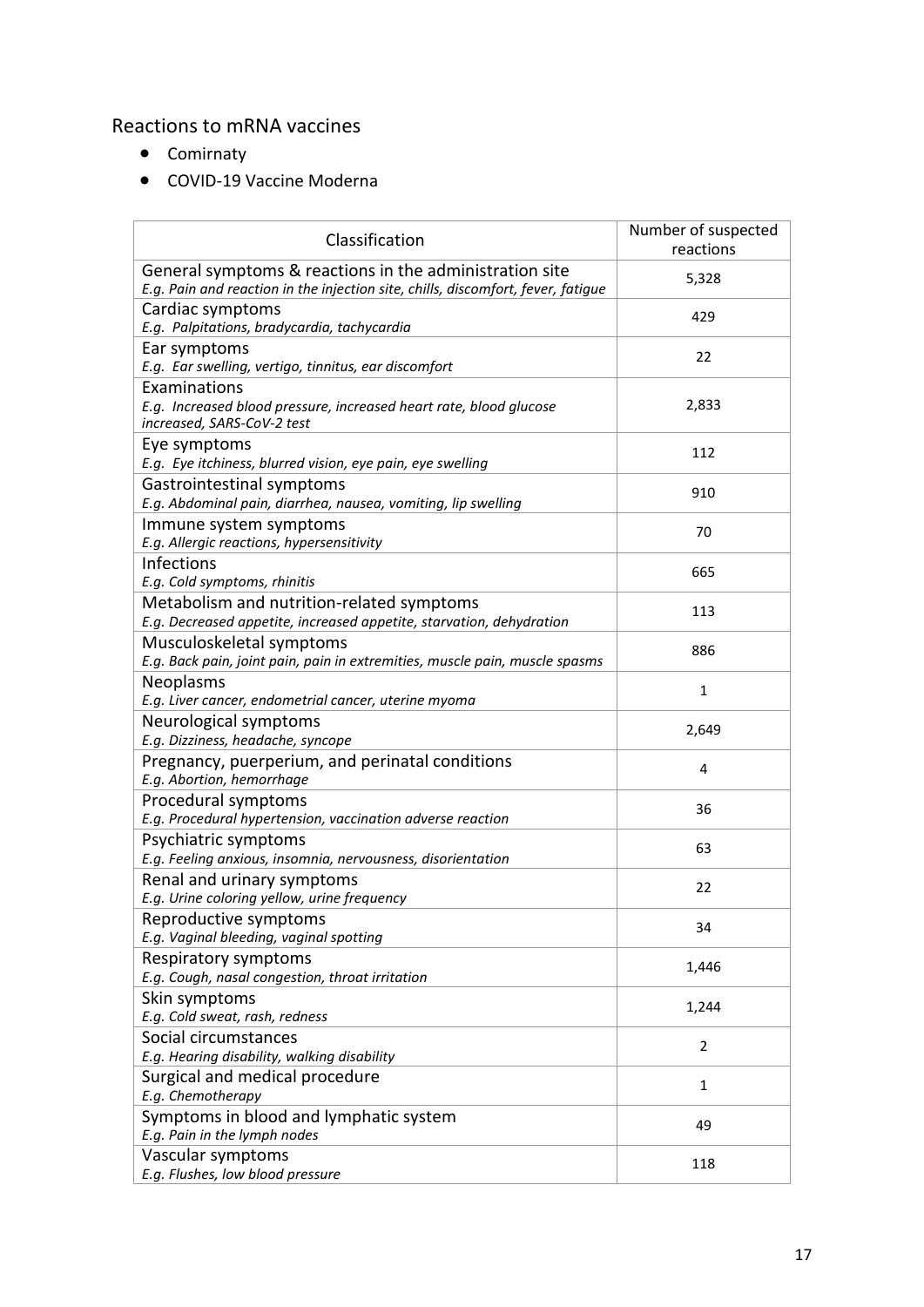### Reactions to mRNA vaccines

- Comirnaty
- COVID-19 Vaccine Moderna

| Classification                                                                                                                              | Number of suspected<br>reactions |
|---------------------------------------------------------------------------------------------------------------------------------------------|----------------------------------|
| General symptoms & reactions in the administration site<br>E.g. Pain and reaction in the injection site, chills, discomfort, fever, fatigue | 5,328                            |
| Cardiac symptoms<br>E.g. Palpitations, bradycardia, tachycardia                                                                             | 429                              |
| Ear symptoms<br>E.g. Ear swelling, vertigo, tinnitus, ear discomfort                                                                        | 22                               |
| Examinations<br>E.g. Increased blood pressure, increased heart rate, blood glucose<br>increased, SARS-CoV-2 test                            | 2,833                            |
| Eye symptoms<br>E.g. Eye itchiness, blurred vision, eye pain, eye swelling                                                                  | 112                              |
| Gastrointestinal symptoms<br>E.g. Abdominal pain, diarrhea, nausea, vomiting, lip swelling                                                  | 910                              |
| Immune system symptoms<br>E.g. Allergic reactions, hypersensitivity                                                                         | 70                               |
| Infections<br>E.g. Cold symptoms, rhinitis                                                                                                  | 665                              |
| Metabolism and nutrition-related symptoms<br>E.g. Decreased appetite, increased appetite, starvation, dehydration                           | 113                              |
| Musculoskeletal symptoms<br>E.g. Back pain, joint pain, pain in extremities, muscle pain, muscle spasms                                     | 886                              |
| Neoplasms<br>E.g. Liver cancer, endometrial cancer, uterine myoma                                                                           | 1                                |
| Neurological symptoms<br>E.g. Dizziness, headache, syncope                                                                                  | 2,649                            |
| Pregnancy, puerperium, and perinatal conditions<br>E.g. Abortion, hemorrhage                                                                | 4                                |
| Procedural symptoms<br>E.g. Procedural hypertension, vaccination adverse reaction                                                           | 36                               |
| Psychiatric symptoms<br>E.g. Feeling anxious, insomnia, nervousness, disorientation                                                         | 63                               |
| Renal and urinary symptoms<br>E.g. Urine coloring yellow, urine frequency                                                                   | 22                               |
| Reproductive symptoms<br>E.g. Vaginal bleeding, vaginal spotting                                                                            | 34                               |
| Respiratory symptoms<br>E.g. Cough, nasal congestion, throat irritation                                                                     | 1,446                            |
| Skin symptoms<br>E.g. Cold sweat, rash, redness                                                                                             | 1,244                            |
| Social circumstances<br>E.g. Hearing disability, walking disability                                                                         | $\overline{2}$                   |
| Surgical and medical procedure<br>E.g. Chemotherapy                                                                                         | $\mathbf{1}$                     |
| Symptoms in blood and lymphatic system<br>E.g. Pain in the lymph nodes                                                                      | 49                               |
| Vascular symptoms<br>E.g. Flushes, low blood pressure                                                                                       | 118                              |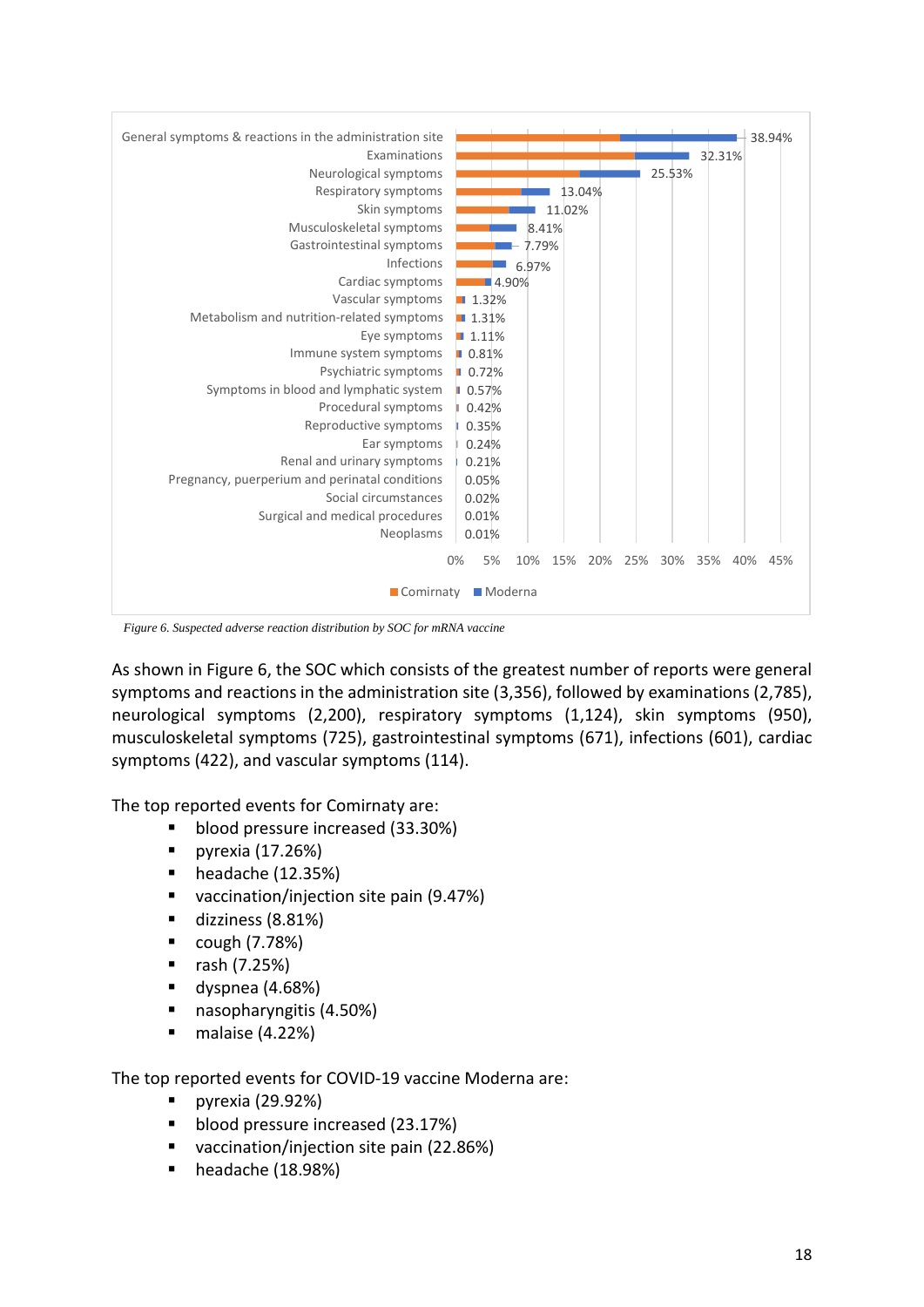| General symptoms & reactions in the administration site | 38.94%                                                           |  |  |
|---------------------------------------------------------|------------------------------------------------------------------|--|--|
| Examinations                                            | 32.31%                                                           |  |  |
| Neurological symptoms                                   | 25.53%                                                           |  |  |
| Respiratory symptoms                                    | 13.04%                                                           |  |  |
| Skin symptoms                                           | 11.02%                                                           |  |  |
| Musculoskeletal symptoms                                | 8.41%                                                            |  |  |
| Gastrointestinal symptoms                               | - 7.79%                                                          |  |  |
| Infections                                              | 6.97%                                                            |  |  |
| Cardiac symptoms                                        | ■4.90%                                                           |  |  |
| Vascular symptoms                                       | 1.32%                                                            |  |  |
| Metabolism and nutrition-related symptoms               | $\blacksquare$ 1.31%                                             |  |  |
| Eye symptoms                                            | 1.11%                                                            |  |  |
| Immune system symptoms                                  | $\blacksquare$ 0.81%                                             |  |  |
| Psychiatric symptoms                                    | $\blacksquare$ 0.72%                                             |  |  |
| Symptoms in blood and lymphatic system                  | 0.57%                                                            |  |  |
| Procedural symptoms                                     | 0.42%                                                            |  |  |
| Reproductive symptoms                                   | 0.35%                                                            |  |  |
| Ear symptoms                                            | 0.24%                                                            |  |  |
| Renal and urinary symptoms                              | 0.21%                                                            |  |  |
| Pregnancy, puerperium and perinatal conditions          | 0.05%                                                            |  |  |
| Social circumstances                                    | 0.02%                                                            |  |  |
| Surgical and medical procedures                         | 0.01%                                                            |  |  |
| Neoplasms                                               | 0.01%                                                            |  |  |
|                                                         |                                                                  |  |  |
|                                                         | 0%<br>5%<br>10%<br>25%<br>15%<br>20%<br>30%<br>35%<br>40%<br>45% |  |  |
| Comirnaty<br>Moderna                                    |                                                                  |  |  |
|                                                         |                                                                  |  |  |

*Figure 6. Suspected adverse reaction distribution by SOC for mRNA vaccine*

As shown in Figure 6, the SOC which consists of the greatest number of reports were general symptoms and reactions in the administration site (3,356), followed by examinations (2,785), neurological symptoms (2,200), respiratory symptoms (1,124), skin symptoms (950), musculoskeletal symptoms (725), gastrointestinal symptoms (671), infections (601), cardiac symptoms (422), and vascular symptoms (114).

The top reported events for Comirnaty are:

- **blood pressure increased (33.30%)**
- pyrexia  $(17.26%)$
- $\blacksquare$  headache (12.35%)
- vaccination/injection site pain (9.47%)
- dizziness (8.81%)
- $\bullet$  cough (7.78%)
- $\blacksquare$  rash (7.25%)
- $\blacksquare$  dyspnea (4.68%)
- nasopharyngitis (4.50%)
- $\blacksquare$  malaise (4.22%)

The top reported events for COVID-19 vaccine Moderna are:

- **pyrexia (29.92%)**
- **blood pressure increased (23.17%)**
- vaccination/injection site pain (22.86%)
- $\blacksquare$  headache (18.98%)